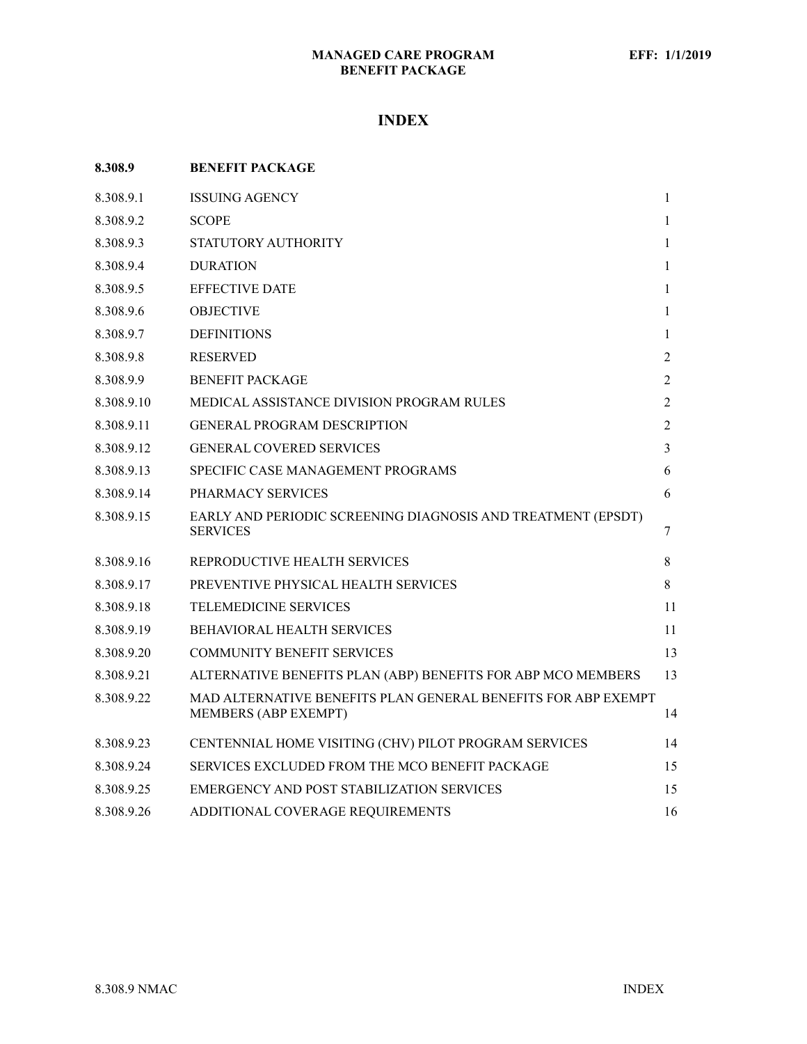# **INDEX**

| 8.308.9    | <b>BENEFIT PACKAGE</b>                                                                |              |
|------------|---------------------------------------------------------------------------------------|--------------|
| 8.308.9.1  | <b>ISSUING AGENCY</b>                                                                 | $\mathbf{1}$ |
| 8.308.9.2  | <b>SCOPE</b>                                                                          | 1            |
| 8.308.9.3  | STATUTORY AUTHORITY                                                                   | $\mathbf{1}$ |
| 8.308.9.4  | <b>DURATION</b>                                                                       | 1            |
| 8.308.9.5  | <b>EFFECTIVE DATE</b>                                                                 | 1            |
| 8.308.9.6  | <b>OBJECTIVE</b>                                                                      | 1            |
| 8.308.9.7  | <b>DEFINITIONS</b>                                                                    | 1            |
| 8.308.9.8  | <b>RESERVED</b>                                                                       | 2            |
| 8.308.9.9  | <b>BENEFIT PACKAGE</b>                                                                | 2            |
| 8.308.9.10 | MEDICAL ASSISTANCE DIVISION PROGRAM RULES                                             | 2            |
| 8.308.9.11 | <b>GENERAL PROGRAM DESCRIPTION</b>                                                    | 2            |
| 8.308.9.12 | <b>GENERAL COVERED SERVICES</b>                                                       | 3            |
| 8.308.9.13 | SPECIFIC CASE MANAGEMENT PROGRAMS                                                     | 6            |
| 8.308.9.14 | PHARMACY SERVICES                                                                     | 6            |
| 8.308.9.15 | EARLY AND PERIODIC SCREENING DIAGNOSIS AND TREATMENT (EPSDT)<br><b>SERVICES</b>       | 7            |
| 8.308.9.16 | REPRODUCTIVE HEALTH SERVICES                                                          | 8            |
| 8.308.9.17 | PREVENTIVE PHYSICAL HEALTH SERVICES                                                   | 8            |
| 8.308.9.18 | <b>TELEMEDICINE SERVICES</b>                                                          | 11           |
| 8.308.9.19 | <b>BEHAVIORAL HEALTH SERVICES</b>                                                     | 11           |
| 8.308.9.20 | <b>COMMUNITY BENEFIT SERVICES</b>                                                     | 13           |
| 8.308.9.21 | ALTERNATIVE BENEFITS PLAN (ABP) BENEFITS FOR ABP MCO MEMBERS                          | 13           |
| 8.308.9.22 | MAD ALTERNATIVE BENEFITS PLAN GENERAL BENEFITS FOR ABP EXEMPT<br>MEMBERS (ABP EXEMPT) | 14           |
| 8.308.9.23 | CENTENNIAL HOME VISITING (CHV) PILOT PROGRAM SERVICES                                 | 14           |
| 8.308.9.24 | SERVICES EXCLUDED FROM THE MCO BENEFIT PACKAGE                                        | 15           |
| 8.308.9.25 | EMERGENCY AND POST STABILIZATION SERVICES                                             | 15           |
| 8.308.9.26 | ADDITIONAL COVERAGE REQUIREMENTS                                                      | 16           |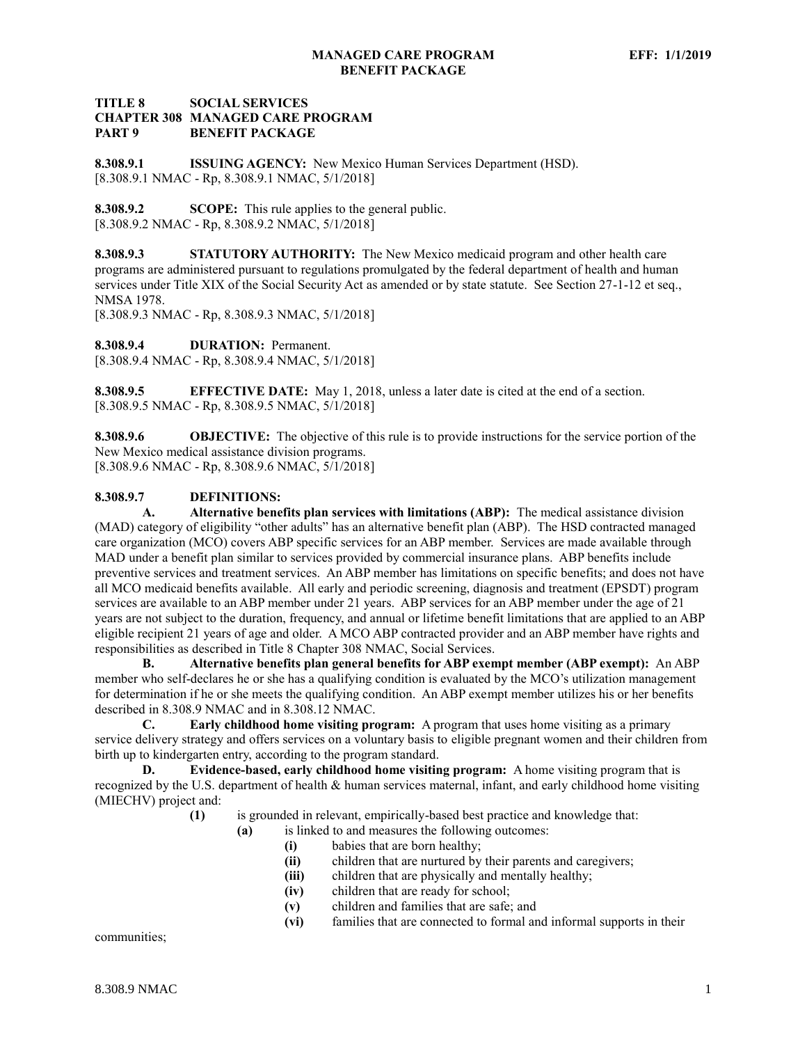## **TITLE 8 SOCIAL SERVICES CHAPTER 308 MANAGED CARE PROGRAM PART 9 BENEFIT PACKAGE**

<span id="page-1-0"></span>**8.308.9.1 ISSUING AGENCY:** New Mexico Human Services Department (HSD). [8.308.9.1 NMAC - Rp, 8.308.9.1 NMAC, 5/1/2018]

<span id="page-1-1"></span>**8.308.9.2 SCOPE:** This rule applies to the general public. [8.308.9.2 NMAC - Rp, 8.308.9.2 NMAC, 5/1/2018]

<span id="page-1-2"></span>**8.308.9.3 STATUTORY AUTHORITY:** The New Mexico medicaid program and other health care programs are administered pursuant to regulations promulgated by the federal department of health and human services under Title XIX of the Social Security Act as amended or by state statute. See Section 27-1-12 et seq., NMSA 1978.

[8.308.9.3 NMAC - Rp, 8.308.9.3 NMAC, 5/1/2018]

<span id="page-1-3"></span>**8.308.9.4 DURATION:** Permanent.

[8.308.9.4 NMAC - Rp, 8.308.9.4 NMAC, 5/1/2018]

<span id="page-1-4"></span>**8.308.9.5 EFFECTIVE DATE:** May 1, 2018, unless a later date is cited at the end of a section. [8.308.9.5 NMAC - Rp, 8.308.9.5 NMAC, 5/1/2018]

<span id="page-1-5"></span>**8.308.9.6 OBJECTIVE:** The objective of this rule is to provide instructions for the service portion of the New Mexico medical assistance division programs. [8.308.9.6 NMAC - Rp, 8.308.9.6 NMAC, 5/1/2018]

# <span id="page-1-6"></span>**8.308.9.7 DEFINITIONS:**

**A. Alternative benefits plan services with limitations (ABP):** The medical assistance division (MAD) category of eligibility "other adults" has an alternative benefit plan (ABP). The HSD contracted managed care organization (MCO) covers ABP specific services for an ABP member. Services are made available through MAD under a benefit plan similar to services provided by commercial insurance plans. ABP benefits include preventive services and treatment services. An ABP member has limitations on specific benefits; and does not have all MCO medicaid benefits available. All early and periodic screening, diagnosis and treatment (EPSDT) program services are available to an ABP member under 21 years. ABP services for an ABP member under the age of 21 years are not subject to the duration, frequency, and annual or lifetime benefit limitations that are applied to an ABP eligible recipient 21 years of age and older. A MCO ABP contracted provider and an ABP member have rights and responsibilities as described in Title 8 Chapter 308 NMAC, Social Services.

**B. Alternative benefits plan general benefits for ABP exempt member (ABP exempt):** An ABP member who self-declares he or she has a qualifying condition is evaluated by the MCO's utilization management for determination if he or she meets the qualifying condition. An ABP exempt member utilizes his or her benefits described in 8.308.9 NMAC and in 8.308.12 NMAC.

**C. Early childhood home visiting program:** A program that uses home visiting as a primary service delivery strategy and offers services on a voluntary basis to eligible pregnant women and their children from birth up to kindergarten entry, according to the program standard.

**D. Evidence-based, early childhood home visiting program:** A home visiting program that is recognized by the U.S. department of health & human services maternal, infant, and early childhood home visiting (MIECHV) project and:

- **(1)** is grounded in relevant, empirically-based best practice and knowledge that:
	- **(a)** is linked to and measures the following outcomes:
		- **(i)** babies that are born healthy;
		- **(ii)** children that are nurtured by their parents and caregivers;
		- **(iii)** children that are physically and mentally healthy;
		- **(iv)** children that are ready for school;
		- **(v)** children and families that are safe; and
		- **(vi)** families that are connected to formal and informal supports in their

communities;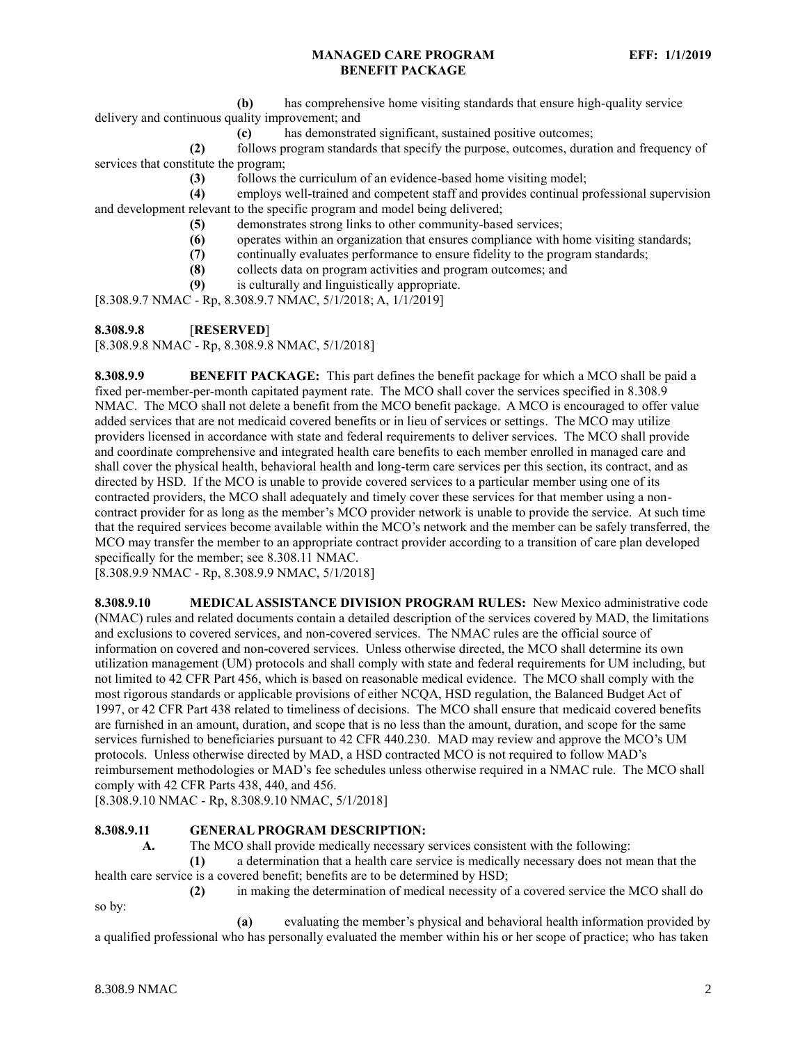**(b)** has comprehensive home visiting standards that ensure high-quality service delivery and continuous quality improvement; and

**(c)** has demonstrated significant, sustained positive outcomes;

**(2)** follows program standards that specify the purpose, outcomes, duration and frequency of services that constitute the program;

**(3)** follows the curriculum of an evidence-based home visiting model;

**(4)** employs well-trained and competent staff and provides continual professional supervision and development relevant to the specific program and model being delivered;

- **(5)** demonstrates strong links to other community-based services;
- **(6)** operates within an organization that ensures compliance with home visiting standards;
- **(7)** continually evaluates performance to ensure fidelity to the program standards;
- **(8)** collects data on program activities and program outcomes; and
- **(9)** is culturally and linguistically appropriate.

[8.308.9.7 NMAC - Rp, 8.308.9.7 NMAC, 5/1/2018; A, 1/1/2019]

<span id="page-2-0"></span>**8.308.9.8** [**RESERVED**]

[8.308.9.8 NMAC - Rp, 8.308.9.8 NMAC, 5/1/2018]

<span id="page-2-1"></span>**8.308.9.9 BENEFIT PACKAGE:** This part defines the benefit package for which a MCO shall be paid a fixed per-member-per-month capitated payment rate. The MCO shall cover the services specified in 8.308.9 NMAC. The MCO shall not delete a benefit from the MCO benefit package. A MCO is encouraged to offer value added services that are not medicaid covered benefits or in lieu of services or settings. The MCO may utilize providers licensed in accordance with state and federal requirements to deliver services. The MCO shall provide and coordinate comprehensive and integrated health care benefits to each member enrolled in managed care and shall cover the physical health, behavioral health and long-term care services per this section, its contract, and as directed by HSD. If the MCO is unable to provide covered services to a particular member using one of its contracted providers, the MCO shall adequately and timely cover these services for that member using a noncontract provider for as long as the member's MCO provider network is unable to provide the service. At such time that the required services become available within the MCO's network and the member can be safely transferred, the MCO may transfer the member to an appropriate contract provider according to a transition of care plan developed specifically for the member; see 8.308.11 NMAC.

[8.308.9.9 NMAC - Rp, 8.308.9.9 NMAC, 5/1/2018]

<span id="page-2-2"></span>**8.308.9.10 MEDICAL ASSISTANCE DIVISION PROGRAM RULES:** New Mexico administrative code (NMAC) rules and related documents contain a detailed description of the services covered by MAD, the limitations and exclusions to covered services, and non-covered services. The NMAC rules are the official source of information on covered and non-covered services. Unless otherwise directed, the MCO shall determine its own utilization management (UM) protocols and shall comply with state and federal requirements for UM including, but not limited to 42 CFR Part 456, which is based on reasonable medical evidence. The MCO shall comply with the most rigorous standards or applicable provisions of either NCQA, HSD regulation, the Balanced Budget Act of 1997, or 42 CFR Part 438 related to timeliness of decisions. The MCO shall ensure that medicaid covered benefits are furnished in an amount, duration, and scope that is no less than the amount, duration, and scope for the same services furnished to beneficiaries pursuant to 42 CFR 440.230. MAD may review and approve the MCO's UM protocols. Unless otherwise directed by MAD, a HSD contracted MCO is not required to follow MAD's reimbursement methodologies or MAD's fee schedules unless otherwise required in a NMAC rule. The MCO shall comply with 42 CFR Parts 438, 440, and 456.

[8.308.9.10 NMAC - Rp, 8.308.9.10 NMAC, 5/1/2018]

# <span id="page-2-3"></span>**8.308.9.11 GENERAL PROGRAM DESCRIPTION:**

**A.** The MCO shall provide medically necessary services consistent with the following:

**(1)** a determination that a health care service is medically necessary does not mean that the health care service is a covered benefit; benefits are to be determined by HSD;

**(2)** in making the determination of medical necessity of a covered service the MCO shall do so by:

**(a)** evaluating the member's physical and behavioral health information provided by a qualified professional who has personally evaluated the member within his or her scope of practice; who has taken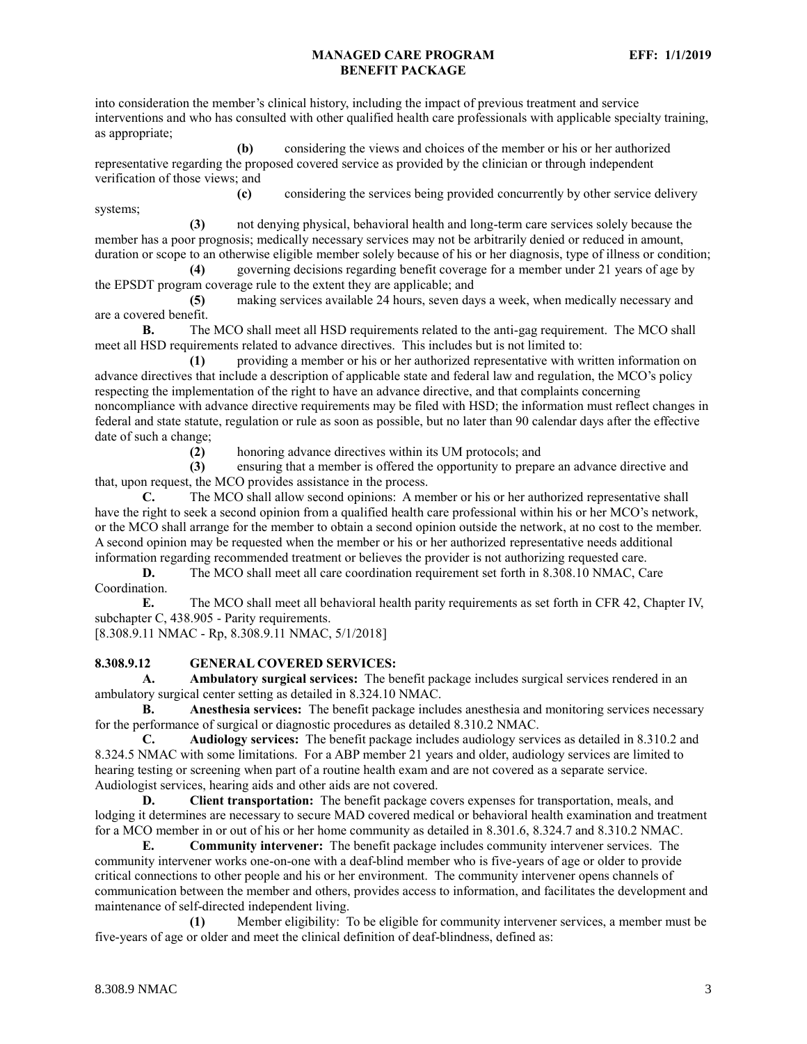into consideration the member's clinical history, including the impact of previous treatment and service interventions and who has consulted with other qualified health care professionals with applicable specialty training, as appropriate;

**(b)** considering the views and choices of the member or his or her authorized representative regarding the proposed covered service as provided by the clinician or through independent verification of those views; and

**(c)** considering the services being provided concurrently by other service delivery systems;

**(3)** not denying physical, behavioral health and long-term care services solely because the member has a poor prognosis; medically necessary services may not be arbitrarily denied or reduced in amount, duration or scope to an otherwise eligible member solely because of his or her diagnosis, type of illness or condition;

**(4)** governing decisions regarding benefit coverage for a member under 21 years of age by the EPSDT program coverage rule to the extent they are applicable; and

**(5)** making services available 24 hours, seven days a week, when medically necessary and are a covered benefit.

**B.** The MCO shall meet all HSD requirements related to the anti-gag requirement. The MCO shall meet all HSD requirements related to advance directives. This includes but is not limited to:

**(1)** providing a member or his or her authorized representative with written information on advance directives that include a description of applicable state and federal law and regulation, the MCO's policy respecting the implementation of the right to have an advance directive, and that complaints concerning noncompliance with advance directive requirements may be filed with HSD; the information must reflect changes in federal and state statute, regulation or rule as soon as possible, but no later than 90 calendar days after the effective date of such a change;

**(2)** honoring advance directives within its UM protocols; and

**(3)** ensuring that a member is offered the opportunity to prepare an advance directive and that, upon request, the MCO provides assistance in the process.

**C.** The MCO shall allow second opinions: A member or his or her authorized representative shall have the right to seek a second opinion from a qualified health care professional within his or her MCO's network, or the MCO shall arrange for the member to obtain a second opinion outside the network, at no cost to the member. A second opinion may be requested when the member or his or her authorized representative needs additional information regarding recommended treatment or believes the provider is not authorizing requested care.

**D.** The MCO shall meet all care coordination requirement set forth in 8.308.10 NMAC, Care Coordination.

**E.** The MCO shall meet all behavioral health parity requirements as set forth in CFR 42, Chapter IV, subchapter C, 438.905 - Parity requirements.

[8.308.9.11 NMAC - Rp, 8.308.9.11 NMAC, 5/1/2018]

## <span id="page-3-0"></span>**8.308.9.12 GENERAL COVERED SERVICES:**

**A. Ambulatory surgical services:** The benefit package includes surgical services rendered in an ambulatory surgical center setting as detailed in 8.324.10 NMAC.

**B. Anesthesia services:** The benefit package includes anesthesia and monitoring services necessary for the performance of surgical or diagnostic procedures as detailed 8.310.2 NMAC.

**C. Audiology services:** The benefit package includes audiology services as detailed in 8.310.2 and 8.324.5 NMAC with some limitations. For a ABP member 21 years and older, audiology services are limited to hearing testing or screening when part of a routine health exam and are not covered as a separate service. Audiologist services, hearing aids and other aids are not covered.

**D. Client transportation:** The benefit package covers expenses for transportation, meals, and lodging it determines are necessary to secure MAD covered medical or behavioral health examination and treatment for a MCO member in or out of his or her home community as detailed in 8.301.6, 8.324.7 and 8.310.2 NMAC.

**E. Community intervener:** The benefit package includes community intervener services. The community intervener works one-on-one with a deaf-blind member who is five-years of age or older to provide critical connections to other people and his or her environment. The community intervener opens channels of communication between the member and others, provides access to information, and facilitates the development and maintenance of self-directed independent living.

**(1)** Member eligibility: To be eligible for community intervener services, a member must be five-years of age or older and meet the clinical definition of deaf-blindness, defined as: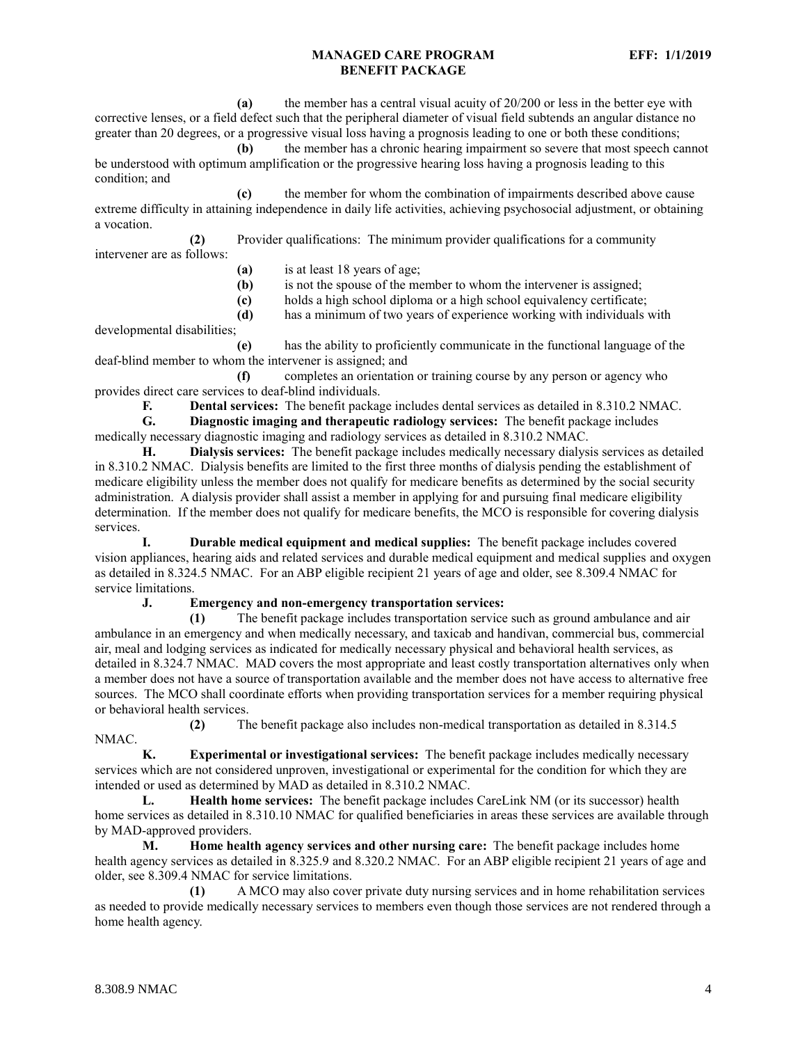**(a)** the member has a central visual acuity of 20/200 or less in the better eye with corrective lenses, or a field defect such that the peripheral diameter of visual field subtends an angular distance no greater than 20 degrees, or a progressive visual loss having a prognosis leading to one or both these conditions;

**(b)** the member has a chronic hearing impairment so severe that most speech cannot be understood with optimum amplification or the progressive hearing loss having a prognosis leading to this condition; and

**(c)** the member for whom the combination of impairments described above cause extreme difficulty in attaining independence in daily life activities, achieving psychosocial adjustment, or obtaining a vocation.

**(2)** Provider qualifications: The minimum provider qualifications for a community

intervener are as follows:

- **(a)** is at least 18 years of age;
- **(b)** is not the spouse of the member to whom the intervener is assigned;
- **(c)** holds a high school diploma or a high school equivalency certificate;

**(d)** has a minimum of two years of experience working with individuals with developmental disabilities;

**(e)** has the ability to proficiently communicate in the functional language of the deaf-blind member to whom the intervener is assigned; and

**(f)** completes an orientation or training course by any person or agency who provides direct care services to deaf-blind individuals.

**F. Dental services:** The benefit package includes dental services as detailed in 8.310.2 NMAC.

**G. Diagnostic imaging and therapeutic radiology services:** The benefit package includes medically necessary diagnostic imaging and radiology services as detailed in 8.310.2 NMAC.

**H. Dialysis services:** The benefit package includes medically necessary dialysis services as detailed in 8.310.2 NMAC. Dialysis benefits are limited to the first three months of dialysis pending the establishment of medicare eligibility unless the member does not qualify for medicare benefits as determined by the social security administration. A dialysis provider shall assist a member in applying for and pursuing final medicare eligibility determination. If the member does not qualify for medicare benefits, the MCO is responsible for covering dialysis services.

**I. Durable medical equipment and medical supplies:** The benefit package includes covered vision appliances, hearing aids and related services and durable medical equipment and medical supplies and oxygen as detailed in 8.324.5 NMAC. For an ABP eligible recipient 21 years of age and older, see 8.309.4 NMAC for service limitations.

**J. Emergency and non-emergency transportation services:**

**(1)** The benefit package includes transportation service such as ground ambulance and air ambulance in an emergency and when medically necessary, and taxicab and handivan, commercial bus, commercial air, meal and lodging services as indicated for medically necessary physical and behavioral health services, as detailed in 8.324.7 NMAC. MAD covers the most appropriate and least costly transportation alternatives only when a member does not have a source of transportation available and the member does not have access to alternative free sources. The MCO shall coordinate efforts when providing transportation services for a member requiring physical or behavioral health services.

**(2)** The benefit package also includes non-medical transportation as detailed in 8.314.5 NMAC.

**K. Experimental or investigational services:** The benefit package includes medically necessary services which are not considered unproven, investigational or experimental for the condition for which they are intended or used as determined by MAD as detailed in 8.310.2 NMAC.

**L. Health home services:** The benefit package includes CareLink NM (or its successor) health home services as detailed in 8.310.10 NMAC for qualified beneficiaries in areas these services are available through by MAD-approved providers.

**M. Home health agency services and other nursing care:** The benefit package includes home health agency services as detailed in 8.325.9 and 8.320.2 NMAC. For an ABP eligible recipient 21 years of age and older, see 8.309.4 NMAC for service limitations.

**(1)** A MCO may also cover private duty nursing services and in home rehabilitation services as needed to provide medically necessary services to members even though those services are not rendered through a home health agency.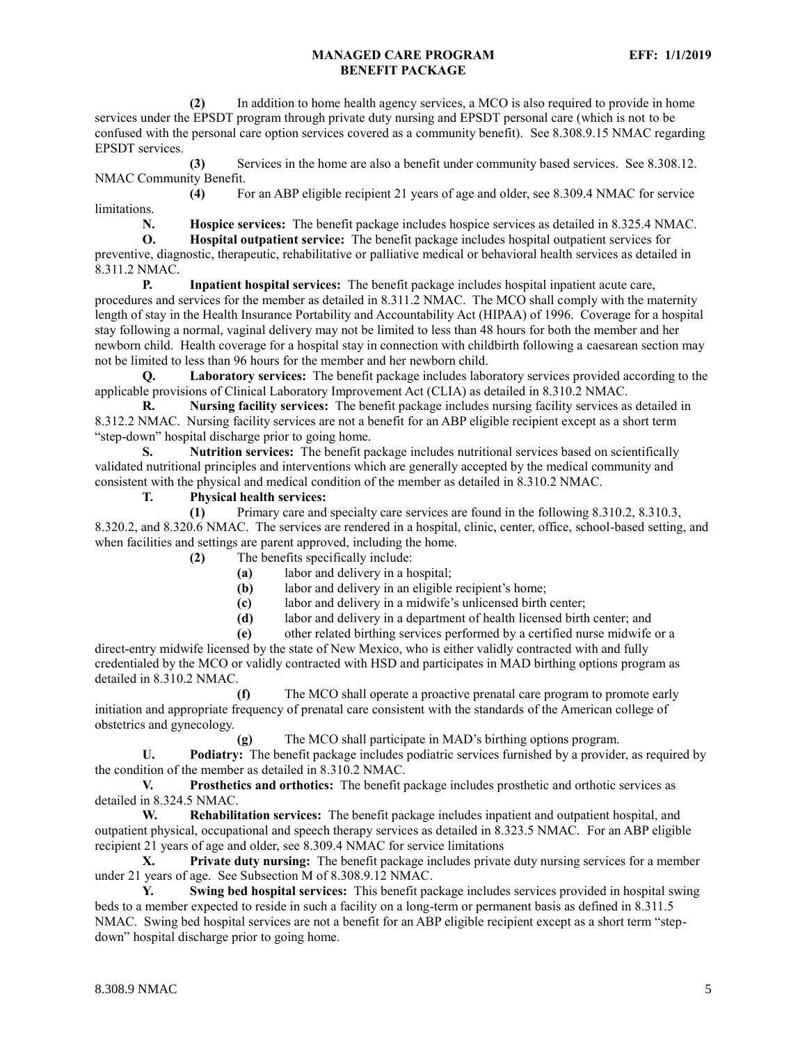**(2)** In addition to home health agency services, a MCO is also required to provide in home services under the EPSDT program through private duty nursing and EPSDT personal care (which is not to be confused with the personal care option services covered as a community benefit). See 8.308.9.15 NMAC regarding EPSDT services.

**(3)** Services in the home are also a benefit under community based services. See 8.308.12. NMAC Community Benefit.

**(4)** For an ABP eligible recipient 21 years of age and older, see 8.309.4 NMAC for service limitations.

**N. Hospice services:** The benefit package includes hospice services as detailed in 8.325.4 NMAC.

**O. Hospital outpatient service:** The benefit package includes hospital outpatient services for preventive, diagnostic, therapeutic, rehabilitative or palliative medical or behavioral health services as detailed in 8.311.2 NMAC.

**P. Inpatient hospital services:** The benefit package includes hospital inpatient acute care, procedures and services for the member as detailed in 8.311.2 NMAC. The MCO shall comply with the maternity length of stay in the Health Insurance Portability and Accountability Act (HIPAA) of 1996. Coverage for a hospital stay following a normal, vaginal delivery may not be limited to less than 48 hours for both the member and her newborn child. Health coverage for a hospital stay in connection with childbirth following a caesarean section may not be limited to less than 96 hours for the member and her newborn child.

**Q. Laboratory services:** The benefit package includes laboratory services provided according to the applicable provisions of Clinical Laboratory Improvement Act (CLIA) as detailed in 8.310.2 NMAC.

**R. Nursing facility services:** The benefit package includes nursing facility services as detailed in 8.312.2 NMAC. Nursing facility services are not a benefit for an ABP eligible recipient except as a short term "step-down" hospital discharge prior to going home.

**S. Nutrition services:** The benefit package includes nutritional services based on scientifically validated nutritional principles and interventions which are generally accepted by the medical community and consistent with the physical and medical condition of the member as detailed in 8.310.2 NMAC.

**T. Physical health services:**

**(1)** Primary care and specialty care services are found in the following 8.310.2, 8.310.3, 8.320.2, and 8.320.6 NMAC. The services are rendered in a hospital, clinic, center, office, school-based setting, and when facilities and settings are parent approved, including the home.

**(2)** The benefits specifically include:

**(a)** labor and delivery in a hospital;

**(b)** labor and delivery in an eligible recipient's home;

**(c)** labor and delivery in a midwife's unlicensed birth center;

**(d)** labor and delivery in a department of health licensed birth center; and

**(e)** other related birthing services performed by a certified nurse midwife or a

direct-entry midwife licensed by the state of New Mexico, who is either validly contracted with and fully credentialed by the MCO or validly contracted with HSD and participates in MAD birthing options program as detailed in 8.310.2 NMAC.

**(f)** The MCO shall operate a proactive prenatal care program to promote early initiation and appropriate frequency of prenatal care consistent with the standards of the American college of obstetrics and gynecology.

**(g)** The MCO shall participate in MAD's birthing options program.

**U. Podiatry:** The benefit package includes podiatric services furnished by a provider, as required by the condition of the member as detailed in 8.310.2 NMAC.

**V. Prosthetics and orthotics:** The benefit package includes prosthetic and orthotic services as detailed in 8.324.5 NMAC.

**W. Rehabilitation services:** The benefit package includes inpatient and outpatient hospital, and outpatient physical, occupational and speech therapy services as detailed in 8.323.5 NMAC. For an ABP eligible recipient 21 years of age and older, see 8.309.4 NMAC for service limitations

**X. Private duty nursing:** The benefit package includes private duty nursing services for a member under 21 years of age. See Subsection M of 8.308.9.12 NMAC.

**Y. Swing bed hospital services:** This benefit package includes services provided in hospital swing beds to a member expected to reside in such a facility on a long-term or permanent basis as defined in 8.311.5 NMAC. Swing bed hospital services are not a benefit for an ABP eligible recipient except as a short term "stepdown" hospital discharge prior to going home.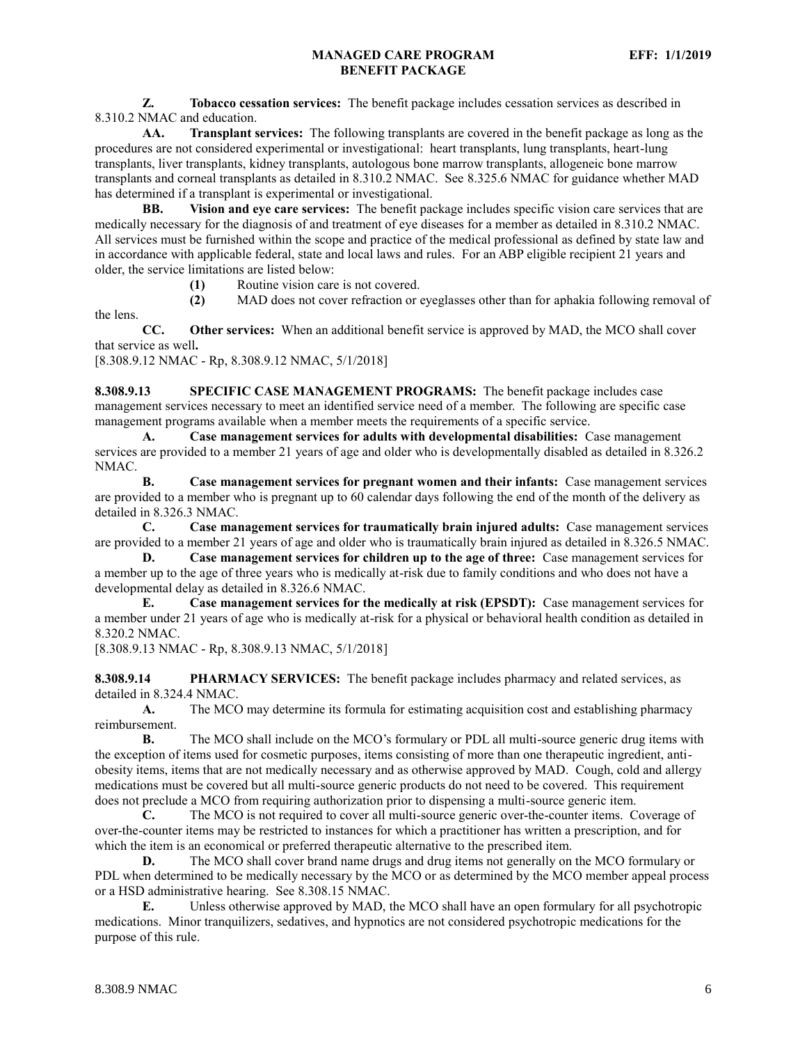**Z. Tobacco cessation services:** The benefit package includes cessation services as described in 8.310.2 NMAC and education.

**AA. Transplant services:** The following transplants are covered in the benefit package as long as the procedures are not considered experimental or investigational: heart transplants, lung transplants, heart-lung transplants, liver transplants, kidney transplants, autologous bone marrow transplants, allogeneic bone marrow transplants and corneal transplants as detailed in 8.310.2 NMAC. See 8.325.6 NMAC for guidance whether MAD has determined if a transplant is experimental or investigational.

**BB. Vision and eye care services:** The benefit package includes specific vision care services that are medically necessary for the diagnosis of and treatment of eye diseases for a member as detailed in 8.310.2 NMAC. All services must be furnished within the scope and practice of the medical professional as defined by state law and in accordance with applicable federal, state and local laws and rules. For an ABP eligible recipient 21 years and older, the service limitations are listed below:

**(1)** Routine vision care is not covered.

**(2)** MAD does not cover refraction or eyeglasses other than for aphakia following removal of

**CC. Other services:** When an additional benefit service is approved by MAD, the MCO shall cover that service as well**.**

[8.308.9.12 NMAC - Rp, 8.308.9.12 NMAC, 5/1/2018]

the lens.

<span id="page-6-0"></span>**8.308.9.13 SPECIFIC CASE MANAGEMENT PROGRAMS:** The benefit package includes case management services necessary to meet an identified service need of a member. The following are specific case management programs available when a member meets the requirements of a specific service.

**A. Case management services for adults with developmental disabilities:** Case management services are provided to a member 21 years of age and older who is developmentally disabled as detailed in 8.326.2 NMAC.

**B. Case management services for pregnant women and their infants:** Case management services are provided to a member who is pregnant up to 60 calendar days following the end of the month of the delivery as detailed in 8.326.3 NMAC.

**C. Case management services for traumatically brain injured adults:** Case management services are provided to a member 21 years of age and older who is traumatically brain injured as detailed in 8.326.5 NMAC.

**D. Case management services for children up to the age of three:** Case management services for a member up to the age of three years who is medically at-risk due to family conditions and who does not have a developmental delay as detailed in 8.326.6 NMAC.

**E. Case management services for the medically at risk (EPSDT):** Case management services for a member under 21 years of age who is medically at-risk for a physical or behavioral health condition as detailed in 8.320.2 NMAC.

[8.308.9.13 NMAC - Rp, 8.308.9.13 NMAC, 5/1/2018]

<span id="page-6-1"></span>**8.308.9.14 PHARMACY SERVICES:** The benefit package includes pharmacy and related services, as detailed in 8.324.4 NMAC.

**A.** The MCO may determine its formula for estimating acquisition cost and establishing pharmacy reimbursement.

**B.** The MCO shall include on the MCO's formulary or PDL all multi-source generic drug items with the exception of items used for cosmetic purposes, items consisting of more than one therapeutic ingredient, antiobesity items, items that are not medically necessary and as otherwise approved by MAD. Cough, cold and allergy medications must be covered but all multi-source generic products do not need to be covered. This requirement does not preclude a MCO from requiring authorization prior to dispensing a multi-source generic item.

**C.** The MCO is not required to cover all multi-source generic over-the-counter items. Coverage of over-the-counter items may be restricted to instances for which a practitioner has written a prescription, and for which the item is an economical or preferred therapeutic alternative to the prescribed item.

**D.** The MCO shall cover brand name drugs and drug items not generally on the MCO formulary or PDL when determined to be medically necessary by the MCO or as determined by the MCO member appeal process or a HSD administrative hearing. See 8.308.15 NMAC.

**E.** Unless otherwise approved by MAD, the MCO shall have an open formulary for all psychotropic medications. Minor tranquilizers, sedatives, and hypnotics are not considered psychotropic medications for the purpose of this rule.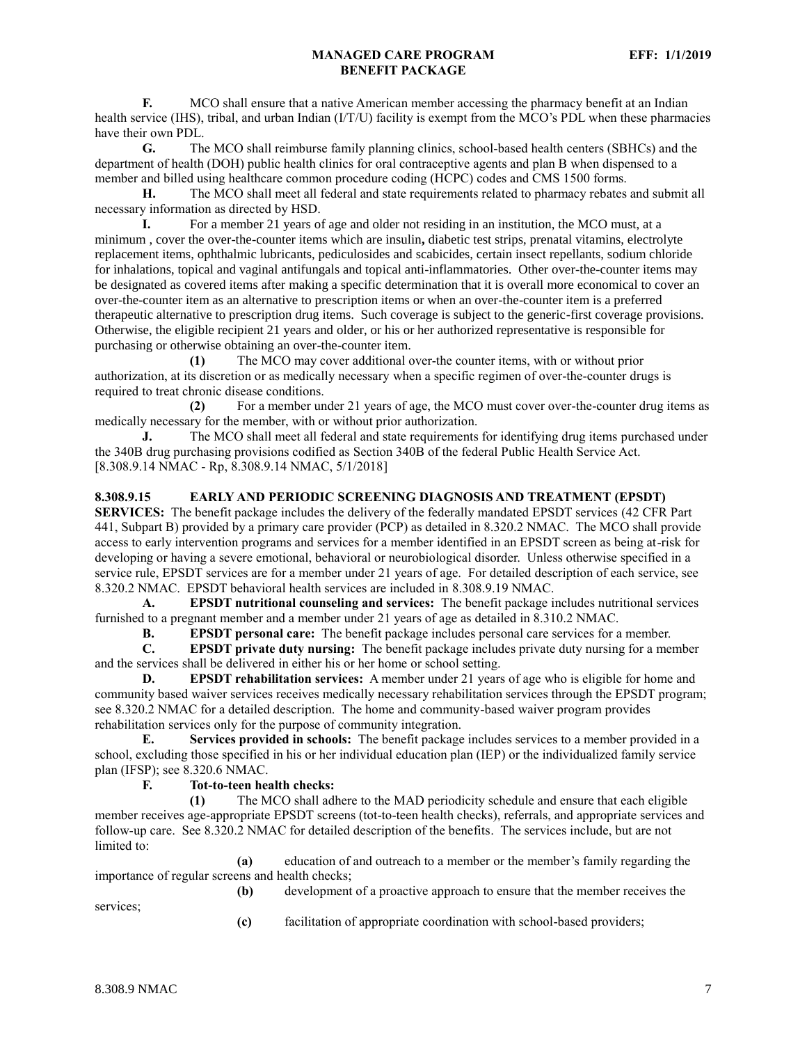**F.** MCO shall ensure that a native American member accessing the pharmacy benefit at an Indian health service (IHS), tribal, and urban Indian (I/T/U) facility is exempt from the MCO's PDL when these pharmacies have their own PDL.

**G.** The MCO shall reimburse family planning clinics, school-based health centers (SBHCs) and the department of health (DOH) public health clinics for oral contraceptive agents and plan B when dispensed to a member and billed using healthcare common procedure coding (HCPC) codes and CMS 1500 forms.

**H.** The MCO shall meet all federal and state requirements related to pharmacy rebates and submit all necessary information as directed by HSD.

**I.** For a member 21 years of age and older not residing in an institution, the MCO must, at a minimum , cover the over-the-counter items which are insulin**,** diabetic test strips, prenatal vitamins, electrolyte replacement items, ophthalmic lubricants, pediculosides and scabicides, certain insect repellants, sodium chloride for inhalations, topical and vaginal antifungals and topical anti-inflammatories. Other over-the-counter items may be designated as covered items after making a specific determination that it is overall more economical to cover an over-the-counter item as an alternative to prescription items or when an over-the-counter item is a preferred therapeutic alternative to prescription drug items. Such coverage is subject to the generic-first coverage provisions. Otherwise, the eligible recipient 21 years and older, or his or her authorized representative is responsible for purchasing or otherwise obtaining an over-the-counter item.

**(1)** The MCO may cover additional over-the counter items, with or without prior authorization, at its discretion or as medically necessary when a specific regimen of over-the-counter drugs is required to treat chronic disease conditions.

**(2)** For a member under 21 years of age, the MCO must cover over-the-counter drug items as medically necessary for the member, with or without prior authorization.

**J.** The MCO shall meet all federal and state requirements for identifying drug items purchased under the 340B drug purchasing provisions codified as Section 340B of the federal Public Health Service Act. [8.308.9.14 NMAC - Rp, 8.308.9.14 NMAC, 5/1/2018]

#### <span id="page-7-0"></span>**8.308.9.15 EARLY AND PERIODIC SCREENING DIAGNOSIS AND TREATMENT (EPSDT)**

**SERVICES:** The benefit package includes the delivery of the federally mandated EPSDT services (42 CFR Part 441, Subpart B) provided by a primary care provider (PCP) as detailed in 8.320.2 NMAC. The MCO shall provide access to early intervention programs and services for a member identified in an EPSDT screen as being at-risk for developing or having a severe emotional, behavioral or neurobiological disorder. Unless otherwise specified in a service rule, EPSDT services are for a member under 21 years of age. For detailed description of each service, see 8.320.2 NMAC. EPSDT behavioral health services are included in 8.308.9.19 NMAC.

**A. EPSDT nutritional counseling and services:** The benefit package includes nutritional services furnished to a pregnant member and a member under 21 years of age as detailed in 8.310.2 NMAC.

**B. EPSDT personal care:** The benefit package includes personal care services for a member.

**C. EPSDT private duty nursing:** The benefit package includes private duty nursing for a member and the services shall be delivered in either his or her home or school setting.

**D. EPSDT rehabilitation services:** A member under 21 years of age who is eligible for home and community based waiver services receives medically necessary rehabilitation services through the EPSDT program; see 8.320.2 NMAC for a detailed description. The home and community-based waiver program provides rehabilitation services only for the purpose of community integration.

**E. Services provided in schools:** The benefit package includes services to a member provided in a school, excluding those specified in his or her individual education plan (IEP) or the individualized family service plan (IFSP); see 8.320.6 NMAC.

## **F. Tot-to-teen health checks:**

**(1)** The MCO shall adhere to the MAD periodicity schedule and ensure that each eligible member receives age-appropriate EPSDT screens (tot-to-teen health checks), referrals, and appropriate services and follow-up care. See 8.320.2 NMAC for detailed description of the benefits. The services include, but are not limited to:

**(a)** education of and outreach to a member or the member's family regarding the importance of regular screens and health checks;

**(b)** development of a proactive approach to ensure that the member receives the services;

**(c)** facilitation of appropriate coordination with school-based providers;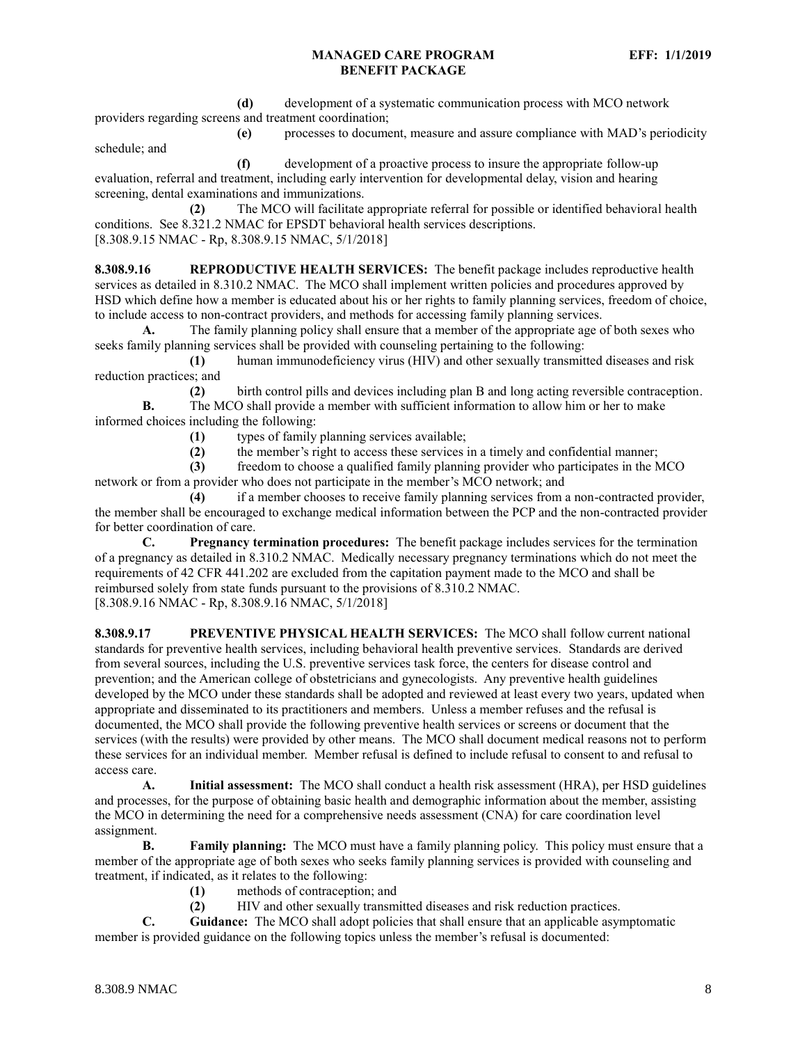**(d)** development of a systematic communication process with MCO network providers regarding screens and treatment coordination;

**(e)** processes to document, measure and assure compliance with MAD's periodicity schedule; and

**(f)** development of a proactive process to insure the appropriate follow-up evaluation, referral and treatment, including early intervention for developmental delay, vision and hearing screening, dental examinations and immunizations.

**(2)** The MCO will facilitate appropriate referral for possible or identified behavioral health conditions. See 8.321.2 NMAC for EPSDT behavioral health services descriptions. [8.308.9.15 NMAC - Rp, 8.308.9.15 NMAC, 5/1/2018]

<span id="page-8-0"></span>**8.308.9.16 REPRODUCTIVE HEALTH SERVICES:** The benefit package includes reproductive health services as detailed in 8.310.2 NMAC. The MCO shall implement written policies and procedures approved by HSD which define how a member is educated about his or her rights to family planning services, freedom of choice, to include access to non-contract providers, and methods for accessing family planning services.

**A.** The family planning policy shall ensure that a member of the appropriate age of both sexes who seeks family planning services shall be provided with counseling pertaining to the following:

**(1)** human immunodeficiency virus (HIV) and other sexually transmitted diseases and risk reduction practices; and

**(2)** birth control pills and devices including plan B and long acting reversible contraception. **B.** The MCO shall provide a member with sufficient information to allow him or her to make informed choices including the following:

- **(1)** types of family planning services available;
- **(2)** the member's right to access these services in a timely and confidential manner;

**(3)** freedom to choose a qualified family planning provider who participates in the MCO network or from a provider who does not participate in the member's MCO network; and

**(4)** if a member chooses to receive family planning services from a non-contracted provider, the member shall be encouraged to exchange medical information between the PCP and the non-contracted provider for better coordination of care.

**C. Pregnancy termination procedures:** The benefit package includes services for the termination of a pregnancy as detailed in 8.310.2 NMAC. Medically necessary pregnancy terminations which do not meet the requirements of 42 CFR 441.202 are excluded from the capitation payment made to the MCO and shall be reimbursed solely from state funds pursuant to the provisions of 8.310.2 NMAC. [8.308.9.16 NMAC - Rp, 8.308.9.16 NMAC, 5/1/2018]

<span id="page-8-1"></span>**8.308.9.17 PREVENTIVE PHYSICAL HEALTH SERVICES:** The MCO shall follow current national standards for preventive health services, including behavioral health preventive services. Standards are derived from several sources, including the U.S. preventive services task force, the centers for disease control and prevention; and the American college of obstetricians and gynecologists. Any preventive health guidelines developed by the MCO under these standards shall be adopted and reviewed at least every two years, updated when appropriate and disseminated to its practitioners and members. Unless a member refuses and the refusal is documented, the MCO shall provide the following preventive health services or screens or document that the services (with the results) were provided by other means. The MCO shall document medical reasons not to perform these services for an individual member. Member refusal is defined to include refusal to consent to and refusal to access care.

**A. Initial assessment:** The MCO shall conduct a health risk assessment (HRA), per HSD guidelines and processes, for the purpose of obtaining basic health and demographic information about the member, assisting the MCO in determining the need for a comprehensive needs assessment (CNA) for care coordination level assignment.

**B. Family planning:** The MCO must have a family planning policy. This policy must ensure that a member of the appropriate age of both sexes who seeks family planning services is provided with counseling and treatment, if indicated, as it relates to the following:

- **(1)** methods of contraception; and
- **(2)** HIV and other sexually transmitted diseases and risk reduction practices.

**C. Guidance:** The MCO shall adopt policies that shall ensure that an applicable asymptomatic member is provided guidance on the following topics unless the member's refusal is documented: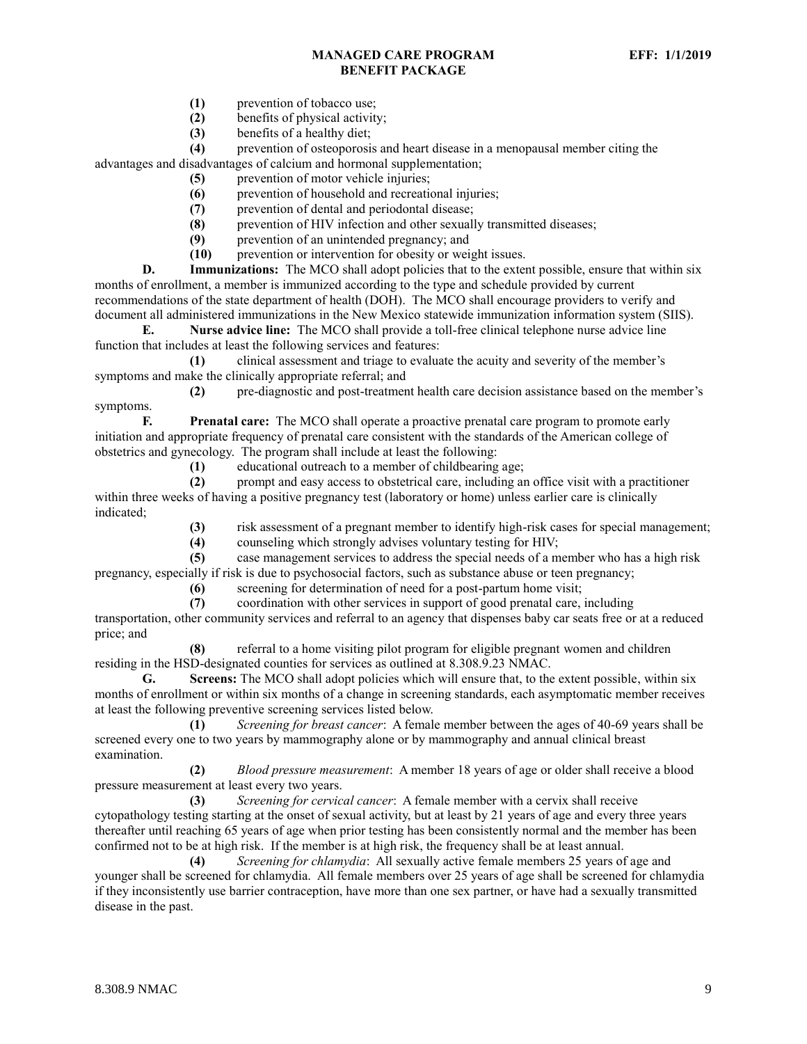- **(1)** prevention of tobacco use;
- **(2)** benefits of physical activity;
- **(3)** benefits of a healthy diet;

**(4)** prevention of osteoporosis and heart disease in a menopausal member citing the advantages and disadvantages of calcium and hormonal supplementation;

- **(5)** prevention of motor vehicle injuries;
- **(6)** prevention of household and recreational injuries;
- **(7)** prevention of dental and periodontal disease;
- **(8)** prevention of HIV infection and other sexually transmitted diseases;
- **(9)** prevention of an unintended pregnancy; and
- **(10)** prevention or intervention for obesity or weight issues.

**D. Immunizations:** The MCO shall adopt policies that to the extent possible, ensure that within six months of enrollment, a member is immunized according to the type and schedule provided by current recommendations of the state department of health (DOH). The MCO shall encourage providers to verify and document all administered immunizations in the New Mexico statewide immunization information system (SIIS).

**E. Nurse advice line:** The MCO shall provide a toll-free clinical telephone nurse advice line function that includes at least the following services and features:

**(1)** clinical assessment and triage to evaluate the acuity and severity of the member's symptoms and make the clinically appropriate referral; and

**(2)** pre-diagnostic and post-treatment health care decision assistance based on the member's symptoms.

**F. Prenatal care:** The MCO shall operate a proactive prenatal care program to promote early initiation and appropriate frequency of prenatal care consistent with the standards of the American college of obstetrics and gynecology. The program shall include at least the following:

**(1)** educational outreach to a member of childbearing age;

**(2)** prompt and easy access to obstetrical care, including an office visit with a practitioner within three weeks of having a positive pregnancy test (laboratory or home) unless earlier care is clinically indicated;

**(3)** risk assessment of a pregnant member to identify high-risk cases for special management;

**(4)** counseling which strongly advises voluntary testing for HIV;

**(5)** case management services to address the special needs of a member who has a high risk pregnancy, especially if risk is due to psychosocial factors, such as substance abuse or teen pregnancy;

**(6)** screening for determination of need for a post-partum home visit;

**(7)** coordination with other services in support of good prenatal care, including

transportation, other community services and referral to an agency that dispenses baby car seats free or at a reduced price; and

**(8)** referral to a home visiting pilot program for eligible pregnant women and children residing in the HSD-designated counties for services as outlined at 8.308.9.23 NMAC.

**G. Screens:** The MCO shall adopt policies which will ensure that, to the extent possible, within six months of enrollment or within six months of a change in screening standards, each asymptomatic member receives at least the following preventive screening services listed below.

**(1)** *Screening for breast cancer*: A female member between the ages of 40-69 years shall be screened every one to two years by mammography alone or by mammography and annual clinical breast examination.

**(2)** *Blood pressure measurement*: A member 18 years of age or older shall receive a blood pressure measurement at least every two years.

**(3)** *Screening for cervical cancer*: A female member with a cervix shall receive cytopathology testing starting at the onset of sexual activity, but at least by 21 years of age and every three years thereafter until reaching 65 years of age when prior testing has been consistently normal and the member has been confirmed not to be at high risk. If the member is at high risk, the frequency shall be at least annual.

**(4)** *Screening for chlamydia*: All sexually active female members 25 years of age and younger shall be screened for chlamydia. All female members over 25 years of age shall be screened for chlamydia if they inconsistently use barrier contraception, have more than one sex partner, or have had a sexually transmitted disease in the past.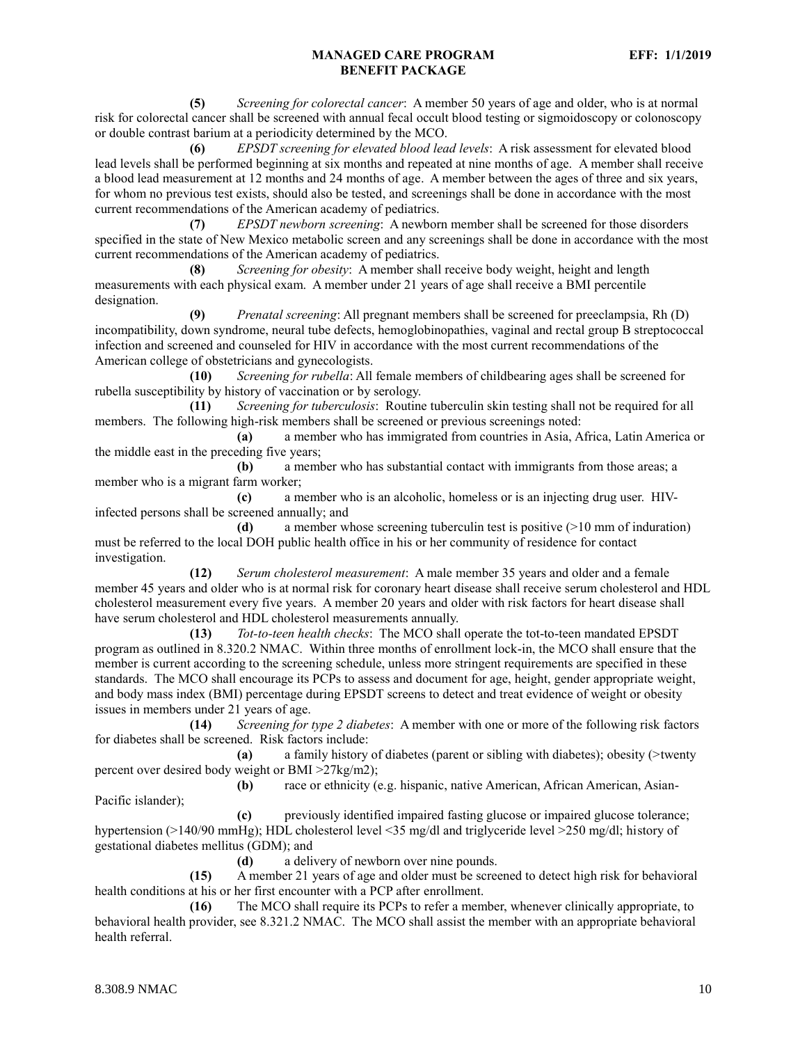**(5)** *Screening for colorectal cancer*: A member 50 years of age and older, who is at normal risk for colorectal cancer shall be screened with annual fecal occult blood testing or sigmoidoscopy or colonoscopy or double contrast barium at a periodicity determined by the MCO.

**(6)** *EPSDT screening for elevated blood lead levels*: A risk assessment for elevated blood lead levels shall be performed beginning at six months and repeated at nine months of age. A member shall receive a blood lead measurement at 12 months and 24 months of age. A member between the ages of three and six years, for whom no previous test exists, should also be tested, and screenings shall be done in accordance with the most current recommendations of the American academy of pediatrics.

**(7)** *EPSDT newborn screening*: A newborn member shall be screened for those disorders specified in the state of New Mexico metabolic screen and any screenings shall be done in accordance with the most current recommendations of the American academy of pediatrics.

**(8)** *Screening for obesity*: A member shall receive body weight, height and length measurements with each physical exam. A member under 21 years of age shall receive a BMI percentile designation.

**(9)** *Prenatal screening*: All pregnant members shall be screened for preeclampsia, Rh (D) incompatibility, down syndrome, neural tube defects, hemoglobinopathies, vaginal and rectal group B streptococcal infection and screened and counseled for HIV in accordance with the most current recommendations of the American college of obstetricians and gynecologists.

**(10)** *Screening for rubella*: All female members of childbearing ages shall be screened for rubella susceptibility by history of vaccination or by serology.

**(11)** *Screening for tuberculosis*: Routine tuberculin skin testing shall not be required for all members. The following high-risk members shall be screened or previous screenings noted:

**(a)** a member who has immigrated from countries in Asia, Africa, Latin America or the middle east in the preceding five years;

**(b)** a member who has substantial contact with immigrants from those areas; a member who is a migrant farm worker;

**(c)** a member who is an alcoholic, homeless or is an injecting drug user. HIVinfected persons shall be screened annually; and

**(d)** a member whose screening tuberculin test is positive (>10 mm of induration) must be referred to the local DOH public health office in his or her community of residence for contact investigation.

**(12)** *Serum cholesterol measurement*: A male member 35 years and older and a female member 45 years and older who is at normal risk for coronary heart disease shall receive serum cholesterol and HDL cholesterol measurement every five years. A member 20 years and older with risk factors for heart disease shall have serum cholesterol and HDL cholesterol measurements annually.

**(13)** *Tot-to-teen health checks*: The MCO shall operate the tot-to-teen mandated EPSDT program as outlined in 8.320.2 NMAC. Within three months of enrollment lock-in, the MCO shall ensure that the member is current according to the screening schedule, unless more stringent requirements are specified in these standards. The MCO shall encourage its PCPs to assess and document for age, height, gender appropriate weight, and body mass index (BMI) percentage during EPSDT screens to detect and treat evidence of weight or obesity issues in members under 21 years of age.

**(14)** *Screening for type 2 diabetes*: A member with one or more of the following risk factors for diabetes shall be screened. Risk factors include:

**(a)** a family history of diabetes (parent or sibling with diabetes); obesity (>twenty percent over desired body weight or BMI >27kg/m2);

**(b)** race or ethnicity (e.g. hispanic, native American, African American, Asian-Pacific islander);

**(c)** previously identified impaired fasting glucose or impaired glucose tolerance; hypertension (>140/90 mmHg); HDL cholesterol level <35 mg/dl and triglyceride level >250 mg/dl; history of gestational diabetes mellitus (GDM); and

**(d)** a delivery of newborn over nine pounds.

**(15)** A member 21 years of age and older must be screened to detect high risk for behavioral health conditions at his or her first encounter with a PCP after enrollment.

**(16)** The MCO shall require its PCPs to refer a member, whenever clinically appropriate, to behavioral health provider, see 8.321.2 NMAC. The MCO shall assist the member with an appropriate behavioral health referral.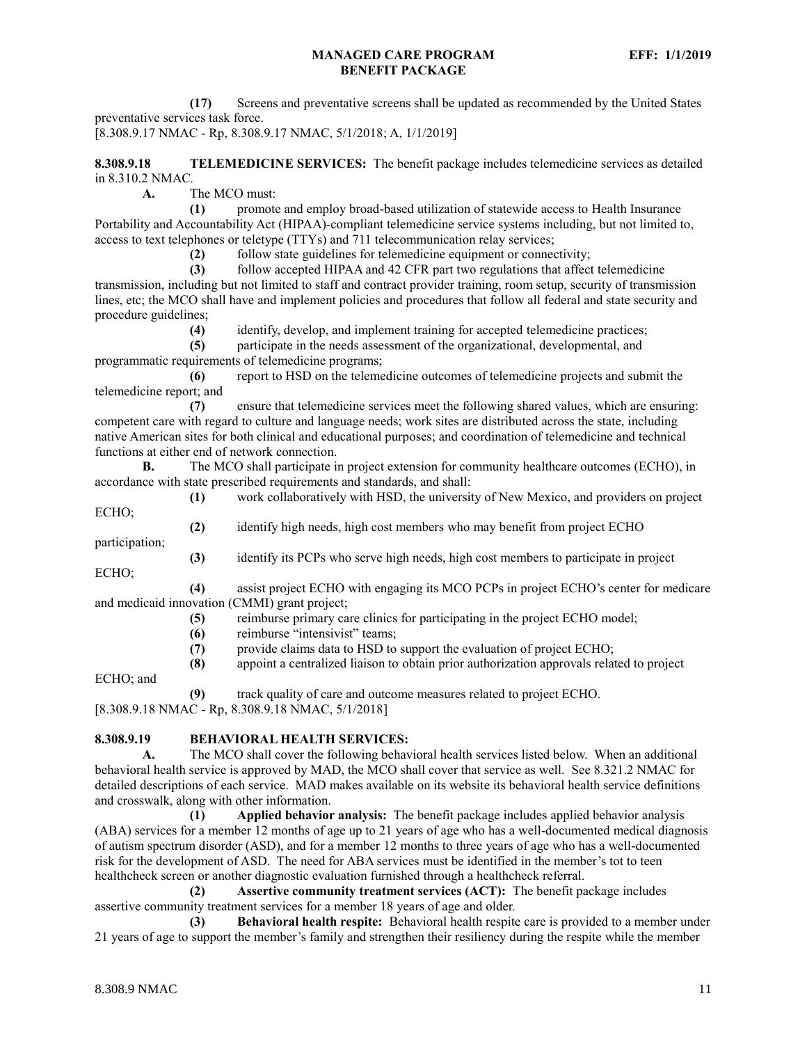**(17)** Screens and preventative screens shall be updated as recommended by the United States preventative services task force.

[8.308.9.17 NMAC - Rp, 8.308.9.17 NMAC, 5/1/2018; A, 1/1/2019]

<span id="page-11-0"></span>**8.308.9.18 TELEMEDICINE SERVICES:** The benefit package includes telemedicine services as detailed in 8.310.2 NMAC*.*

**A.** The MCO must:

**(1)** promote and employ broad-based utilization of statewide access to Health Insurance Portability and Accountability Act (HIPAA)-compliant telemedicine service systems including, but not limited to, access to text telephones or teletype (TTYs) and 711 telecommunication relay services;

**(2)** follow state guidelines for telemedicine equipment or connectivity;

**(3)** follow accepted HIPAA and 42 CFR part two regulations that affect telemedicine transmission, including but not limited to staff and contract provider training, room setup, security of transmission lines, etc; the MCO shall have and implement policies and procedures that follow all federal and state security and procedure guidelines;

**(4)** identify, develop, and implement training for accepted telemedicine practices;

**(5)** participate in the needs assessment of the organizational, developmental, and programmatic requirements of telemedicine programs;

**(6)** report to HSD on the telemedicine outcomes of telemedicine projects and submit the telemedicine report; and

**(7)** ensure that telemedicine services meet the following shared values, which are ensuring: competent care with regard to culture and language needs; work sites are distributed across the state, including native American sites for both clinical and educational purposes; and coordination of telemedicine and technical functions at either end of network connection.

**B.** The MCO shall participate in project extension for community healthcare outcomes (ECHO), in accordance with state prescribed requirements and standards, and shall:

**(1)** work collaboratively with HSD, the university of New Mexico, and providers on project ECHO;

**(2)** identify high needs, high cost members who may benefit from project ECHO

participation; **(3)** identify its PCPs who serve high needs, high cost members to participate in project

ECHO;

**(4)** assist project ECHO with engaging its MCO PCPs in project ECHO's center for medicare and medicaid innovation (CMMI) grant project;

- **(5)** reimburse primary care clinics for participating in the project ECHO model;
- **(6)** reimburse "intensivist" teams;
- **(7)** provide claims data to HSD to support the evaluation of project ECHO;
- **(8)** appoint a centralized liaison to obtain prior authorization approvals related to project

ECHO; and

**(9)** track quality of care and outcome measures related to project ECHO.

[8.308.9.18 NMAC - Rp, 8.308.9.18 NMAC, 5/1/2018]

<span id="page-11-1"></span>**8.308.9.19 BEHAVIORAL HEALTH SERVICES:**

**A.** The MCO shall cover the following behavioral health services listed below. When an additional behavioral health service is approved by MAD, the MCO shall cover that service as well. See 8.321.2 NMAC for detailed descriptions of each service. MAD makes available on its website its behavioral health service definitions and crosswalk, along with other information.

**(1) Applied behavior analysis:** The benefit package includes applied behavior analysis (ABA) services for a member 12 months of age up to 21 years of age who has a well-documented medical diagnosis of autism spectrum disorder (ASD), and for a member 12 months to three years of age who has a well-documented risk for the development of ASD. The need for ABA services must be identified in the member's tot to teen healthcheck screen or another diagnostic evaluation furnished through a healthcheck referral.

**(2) Assertive community treatment services (ACT):** The benefit package includes assertive community treatment services for a member 18 years of age and older.

**(3) Behavioral health respite:** Behavioral health respite care is provided to a member under 21 years of age to support the member's family and strengthen their resiliency during the respite while the member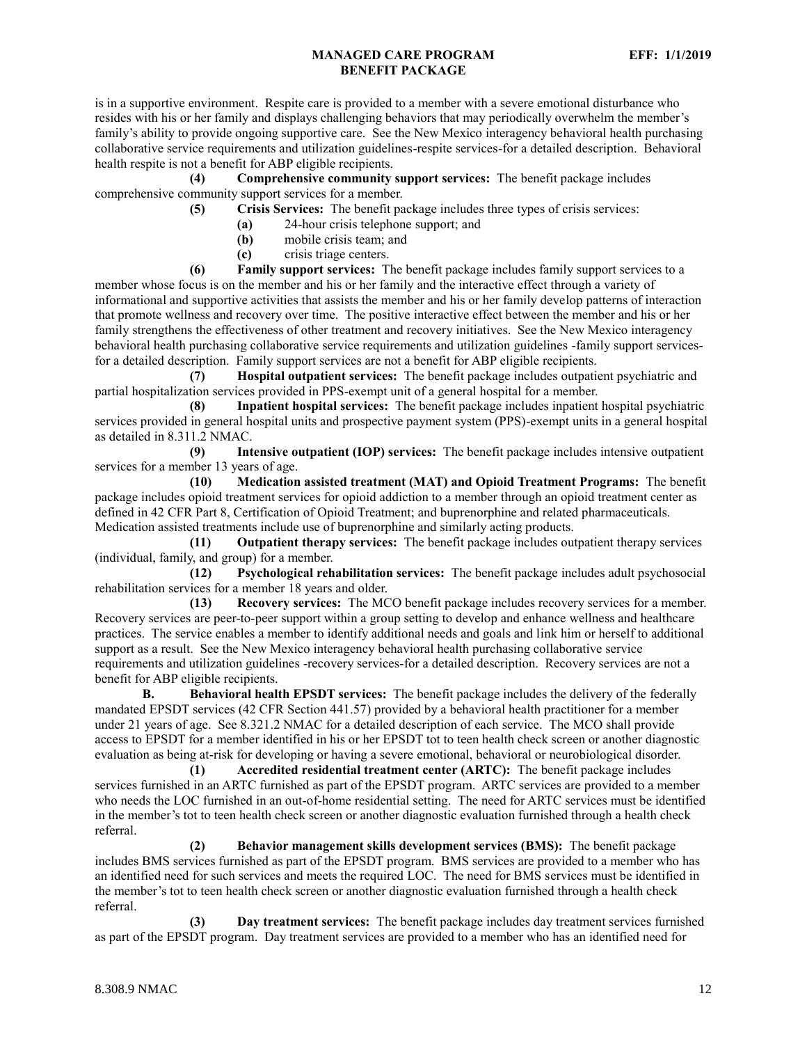is in a supportive environment. Respite care is provided to a member with a severe emotional disturbance who resides with his or her family and displays challenging behaviors that may periodically overwhelm the member's family's ability to provide ongoing supportive care. See the New Mexico interagency behavioral health purchasing collaborative service requirements and utilization guidelines-respite services-for a detailed description. Behavioral health respite is not a benefit for ABP eligible recipients.

**(4) Comprehensive community support services:** The benefit package includes comprehensive community support services for a member.

**(5) Crisis Services:** The benefit package includes three types of crisis services:

- **(a)** 24-hour crisis telephone support; and
- **(b)** mobile crisis team; and
- **(c)** crisis triage centers.

**(6) Family support services:** The benefit package includes family support services to a member whose focus is on the member and his or her family and the interactive effect through a variety of informational and supportive activities that assists the member and his or her family develop patterns of interaction that promote wellness and recovery over time. The positive interactive effect between the member and his or her family strengthens the effectiveness of other treatment and recovery initiatives. See the New Mexico interagency behavioral health purchasing collaborative service requirements and utilization guidelines -family support servicesfor a detailed description. Family support services are not a benefit for ABP eligible recipients.

**(7) Hospital outpatient services:** The benefit package includes outpatient psychiatric and partial hospitalization services provided in PPS-exempt unit of a general hospital for a member.

**(8) Inpatient hospital services:** The benefit package includes inpatient hospital psychiatric services provided in general hospital units and prospective payment system (PPS)-exempt units in a general hospital as detailed in 8.311.2 NMAC.

**(9) Intensive outpatient (IOP) services:** The benefit package includes intensive outpatient services for a member 13 years of age.

**(10) Medication assisted treatment (MAT) and Opioid Treatment Programs:** The benefit package includes opioid treatment services for opioid addiction to a member through an opioid treatment center as defined in 42 CFR Part 8, Certification of Opioid Treatment; and buprenorphine and related pharmaceuticals. Medication assisted treatments include use of buprenorphine and similarly acting products.

**(11) Outpatient therapy services:** The benefit package includes outpatient therapy services (individual, family, and group) for a member.

**(12) Psychological rehabilitation services:** The benefit package includes adult psychosocial rehabilitation services for a member 18 years and older.

**(13) Recovery services:** The MCO benefit package includes recovery services for a member. Recovery services are peer-to-peer support within a group setting to develop and enhance wellness and healthcare practices. The service enables a member to identify additional needs and goals and link him or herself to additional support as a result. See the New Mexico interagency behavioral health purchasing collaborative service requirements and utilization guidelines -recovery services-for a detailed description. Recovery services are not a benefit for ABP eligible recipients.

**B. Behavioral health EPSDT services:** The benefit package includes the delivery of the federally mandated EPSDT services (42 CFR Section 441.57) provided by a behavioral health practitioner for a member under 21 years of age. See 8.321.2 NMAC for a detailed description of each service. The MCO shall provide access to EPSDT for a member identified in his or her EPSDT tot to teen health check screen or another diagnostic evaluation as being at-risk for developing or having a severe emotional, behavioral or neurobiological disorder.

**(1) Accredited residential treatment center (ARTC):** The benefit package includes services furnished in an ARTC furnished as part of the EPSDT program. ARTC services are provided to a member who needs the LOC furnished in an out-of-home residential setting. The need for ARTC services must be identified in the member's tot to teen health check screen or another diagnostic evaluation furnished through a health check referral.

**(2) Behavior management skills development services (BMS):** The benefit package includes BMS services furnished as part of the EPSDT program. BMS services are provided to a member who has an identified need for such services and meets the required LOC. The need for BMS services must be identified in the member's tot to teen health check screen or another diagnostic evaluation furnished through a health check referral.

**(3) Day treatment services:** The benefit package includes day treatment services furnished as part of the EPSDT program. Day treatment services are provided to a member who has an identified need for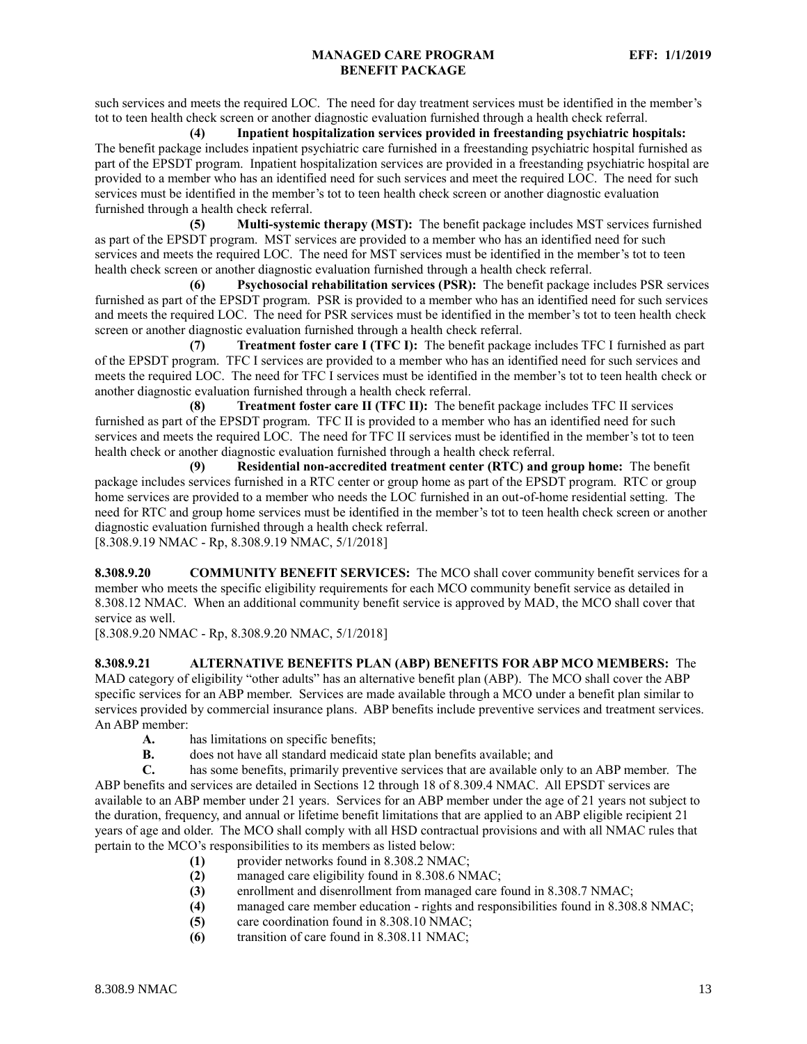such services and meets the required LOC. The need for day treatment services must be identified in the member's tot to teen health check screen or another diagnostic evaluation furnished through a health check referral.

**(4) Inpatient hospitalization services provided in freestanding psychiatric hospitals:** The benefit package includes inpatient psychiatric care furnished in a freestanding psychiatric hospital furnished as part of the EPSDT program. Inpatient hospitalization services are provided in a freestanding psychiatric hospital are provided to a member who has an identified need for such services and meet the required LOC. The need for such services must be identified in the member's tot to teen health check screen or another diagnostic evaluation furnished through a health check referral.

**(5) Multi-systemic therapy (MST):** The benefit package includes MST services furnished as part of the EPSDT program. MST services are provided to a member who has an identified need for such services and meets the required LOC. The need for MST services must be identified in the member's tot to teen health check screen or another diagnostic evaluation furnished through a health check referral.

**(6) Psychosocial rehabilitation services (PSR):** The benefit package includes PSR services furnished as part of the EPSDT program. PSR is provided to a member who has an identified need for such services and meets the required LOC. The need for PSR services must be identified in the member's tot to teen health check screen or another diagnostic evaluation furnished through a health check referral.

**(7) Treatment foster care I (TFC I):** The benefit package includes TFC I furnished as part of the EPSDT program. TFC I services are provided to a member who has an identified need for such services and meets the required LOC. The need for TFC I services must be identified in the member's tot to teen health check or another diagnostic evaluation furnished through a health check referral.

**(8) Treatment foster care II (TFC II):** The benefit package includes TFC II services furnished as part of the EPSDT program. TFC II is provided to a member who has an identified need for such services and meets the required LOC. The need for TFC II services must be identified in the member's tot to teen health check or another diagnostic evaluation furnished through a health check referral.

**(9) Residential non-accredited treatment center (RTC) and group home:** The benefit package includes services furnished in a RTC center or group home as part of the EPSDT program. RTC or group home services are provided to a member who needs the LOC furnished in an out-of-home residential setting. The need for RTC and group home services must be identified in the member's tot to teen health check screen or another diagnostic evaluation furnished through a health check referral.

[8.308.9.19 NMAC - Rp, 8.308.9.19 NMAC, 5/1/2018]

<span id="page-13-0"></span>**8.308.9.20 COMMUNITY BENEFIT SERVICES:** The MCO shall cover community benefit services for a member who meets the specific eligibility requirements for each MCO community benefit service as detailed in 8.308.12 NMAC. When an additional community benefit service is approved by MAD, the MCO shall cover that service as well.

[8.308.9.20 NMAC - Rp, 8.308.9.20 NMAC, 5/1/2018]

<span id="page-13-1"></span>**8.308.9.21 ALTERNATIVE BENEFITS PLAN (ABP) BENEFITS FOR ABP MCO MEMBERS:** The MAD category of eligibility "other adults" has an alternative benefit plan (ABP). The MCO shall cover the ABP specific services for an ABP member. Services are made available through a MCO under a benefit plan similar to services provided by commercial insurance plans. ABP benefits include preventive services and treatment services. An ABP member:

- **A.** has limitations on specific benefits;
- **B.** does not have all standard medicaid state plan benefits available; and

**C.** has some benefits, primarily preventive services that are available only to an ABP member. The ABP benefits and services are detailed in Sections 12 through 18 of 8.309.4 NMAC. All EPSDT services are available to an ABP member under 21 years. Services for an ABP member under the age of 21 years not subject to the duration, frequency, and annual or lifetime benefit limitations that are applied to an ABP eligible recipient 21 years of age and older. The MCO shall comply with all HSD contractual provisions and with all NMAC rules that pertain to the MCO's responsibilities to its members as listed below:

- **(1)** provider networks found in 8.308.2 NMAC;
- **(2)** managed care eligibility found in 8.308.6 NMAC;
- **(3)** enrollment and disenrollment from managed care found in 8.308.7 NMAC;
- **(4)** managed care member education rights and responsibilities found in 8.308.8 NMAC;
- **(5)** care coordination found in 8.308.10 NMAC;
- **(6)** transition of care found in 8.308.11 NMAC;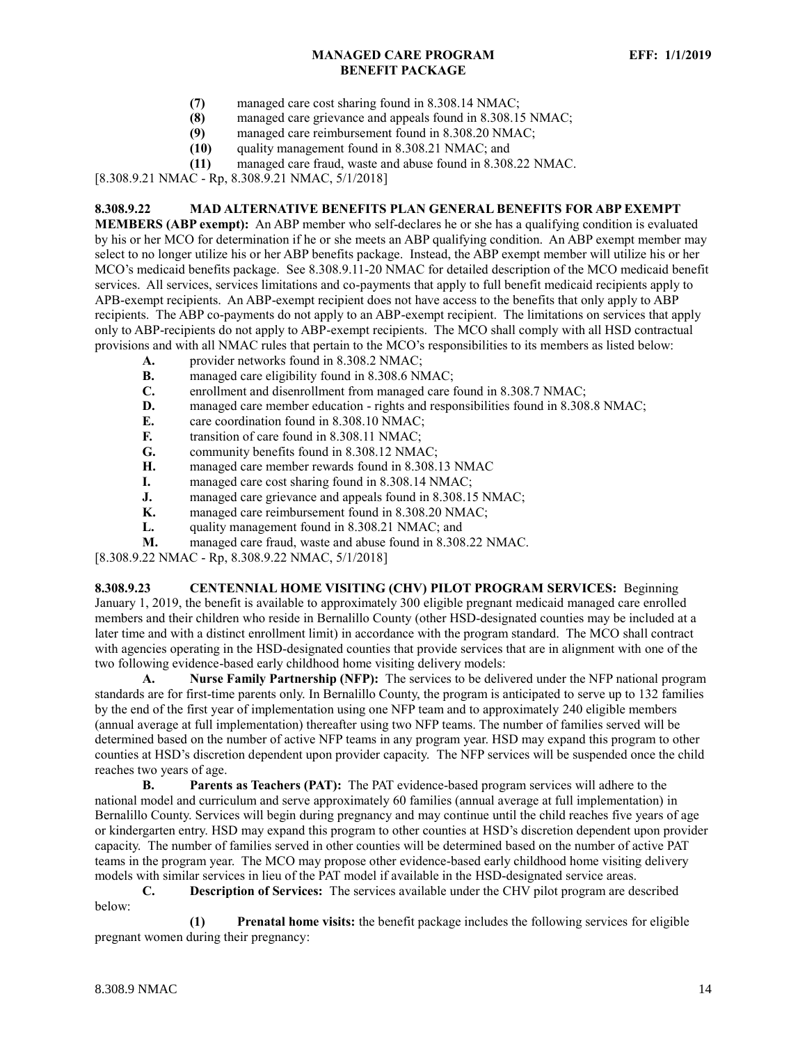- **(7)** managed care cost sharing found in 8.308.14 NMAC;
- **(8)** managed care grievance and appeals found in 8.308.15 NMAC;
- **(9)** managed care reimbursement found in 8.308.20 NMAC;
- **(10)** quality management found in 8.308.21 NMAC; and
- **(11)** managed care fraud, waste and abuse found in 8.308.22 NMAC.

[8.308.9.21 NMAC - Rp, 8.308.9.21 NMAC, 5/1/2018]

## <span id="page-14-0"></span>**8.308.9.22 MAD ALTERNATIVE BENEFITS PLAN GENERAL BENEFITS FOR ABP EXEMPT**

**MEMBERS (ABP exempt):** An ABP member who self-declares he or she has a qualifying condition is evaluated by his or her MCO for determination if he or she meets an ABP qualifying condition. An ABP exempt member may select to no longer utilize his or her ABP benefits package. Instead, the ABP exempt member will utilize his or her MCO's medicaid benefits package. See 8.308.9.11-20 NMAC for detailed description of the MCO medicaid benefit services. All services, services limitations and co-payments that apply to full benefit medicaid recipients apply to APB-exempt recipients. An ABP-exempt recipient does not have access to the benefits that only apply to ABP recipients. The ABP co-payments do not apply to an ABP-exempt recipient. The limitations on services that apply only to ABP-recipients do not apply to ABP-exempt recipients. The MCO shall comply with all HSD contractual provisions and with all NMAC rules that pertain to the MCO's responsibilities to its members as listed below:

- **A.** provider networks found in 8.308.2 NMAC;
- **B.** managed care eligibility found in 8.308.6 NMAC;<br>**C.** enrollment and disenrollment from managed care f
- enrollment and disenrollment from managed care found in 8.308.7 NMAC;
- **D.** managed care member education rights and responsibilities found in 8.308.8 NMAC;
- **E.** care coordination found in 8.308.10 NMAC;
- **F.** transition of care found in 8.308.11 NMAC;
- **G.** community benefits found in 8.308.12 NMAC;
- **H.** managed care member rewards found in 8.308.13 NMAC
- **I.** managed care cost sharing found in 8.308.14 NMAC;
- **J.** managed care grievance and appeals found in 8.308.15 NMAC;
- **K.** managed care reimbursement found in 8.308.20 NMAC;
- **L.** quality management found in 8.308.21 NMAC; and
- **M.** managed care fraud, waste and abuse found in 8.308.22 NMAC.

[8.308.9.22 NMAC - Rp, 8.308.9.22 NMAC, 5/1/2018]

<span id="page-14-1"></span>**8.308.9.23 CENTENNIAL HOME VISITING (CHV) PILOT PROGRAM SERVICES:** Beginning January 1, 2019, the benefit is available to approximately 300 eligible pregnant medicaid managed care enrolled members and their children who reside in Bernalillo County (other HSD-designated counties may be included at a later time and with a distinct enrollment limit) in accordance with the program standard. The MCO shall contract with agencies operating in the HSD-designated counties that provide services that are in alignment with one of the two following evidence-based early childhood home visiting delivery models:

**A. Nurse Family Partnership (NFP):** The services to be delivered under the NFP national program standards are for first-time parents only. In Bernalillo County, the program is anticipated to serve up to 132 families by the end of the first year of implementation using one NFP team and to approximately 240 eligible members (annual average at full implementation) thereafter using two NFP teams. The number of families served will be determined based on the number of active NFP teams in any program year. HSD may expand this program to other counties at HSD's discretion dependent upon provider capacity. The NFP services will be suspended once the child reaches two years of age.

**B. Parents as Teachers (PAT):** The PAT evidence-based program services will adhere to the national model and curriculum and serve approximately 60 families (annual average at full implementation) in Bernalillo County. Services will begin during pregnancy and may continue until the child reaches five years of age or kindergarten entry. HSD may expand this program to other counties at HSD's discretion dependent upon provider capacity. The number of families served in other counties will be determined based on the number of active PAT teams in the program year. The MCO may propose other evidence-based early childhood home visiting delivery models with similar services in lieu of the PAT model if available in the HSD-designated service areas.

**C. Description of Services:** The services available under the CHV pilot program are described below:

**(1) Prenatal home visits:** the benefit package includes the following services for eligible pregnant women during their pregnancy: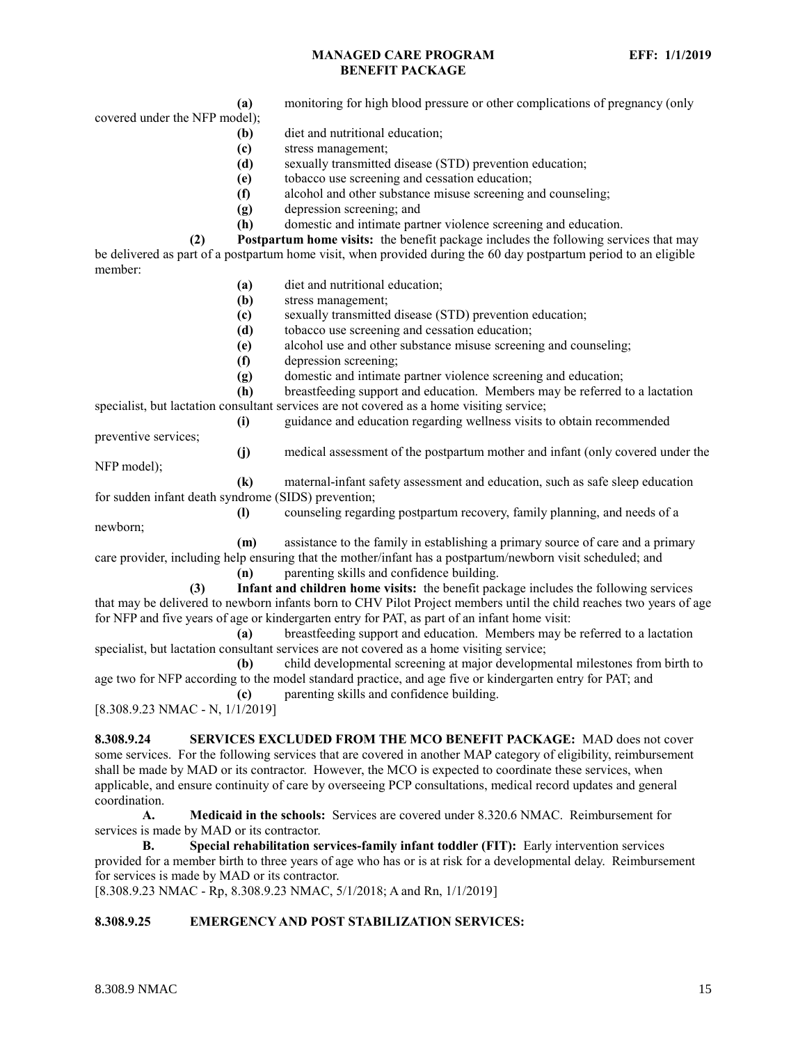**(a)** monitoring for high blood pressure or other complications of pregnancy (only

covered under the NFP model);

- **(b)** diet and nutritional education;
- **(c)** stress management;
- **(d)** sexually transmitted disease (STD) prevention education;
- **(e)** tobacco use screening and cessation education;
- **(f)** alcohol and other substance misuse screening and counseling;
- **(g)** depression screening; and
- **(h)** domestic and intimate partner violence screening and education.

**(2) Postpartum home visits:** the benefit package includes the following services that may be delivered as part of a postpartum home visit, when provided during the 60 day postpartum period to an eligible member:

- **(a)** diet and nutritional education;
- **(b)** stress management;
- **(c)** sexually transmitted disease (STD) prevention education;
- **(d)** tobacco use screening and cessation education;
- **(e)** alcohol use and other substance misuse screening and counseling;
- **(f)** depression screening;
- **(g)** domestic and intimate partner violence screening and education;

**(h)** breastfeeding support and education. Members may be referred to a lactation specialist, but lactation consultant services are not covered as a home visiting service;

**(i)** guidance and education regarding wellness visits to obtain recommended

preventive services;

**(j)** medical assessment of the postpartum mother and infant (only covered under the

NFP model);

**(k)** maternal-infant safety assessment and education, such as safe sleep education for sudden infant death syndrome (SIDS) prevention;

**(l)** counseling regarding postpartum recovery, family planning, and needs of a newborn;

**(m)** assistance to the family in establishing a primary source of care and a primary care provider, including help ensuring that the mother/infant has a postpartum/newborn visit scheduled; and

**(n)** parenting skills and confidence building.

**(3) Infant and children home visits:** the benefit package includes the following services that may be delivered to newborn infants born to CHV Pilot Project members until the child reaches two years of age for NFP and five years of age or kindergarten entry for PAT, as part of an infant home visit:

**(a)** breastfeeding support and education. Members may be referred to a lactation specialist, but lactation consultant services are not covered as a home visiting service;

**(b)** child developmental screening at major developmental milestones from birth to age two for NFP according to the model standard practice, and age five or kindergarten entry for PAT; and **(c)** parenting skills and confidence building.

[8.308.9.23 NMAC - N, 1/1/2019]

<span id="page-15-0"></span>**8.308.9.24 SERVICES EXCLUDED FROM THE MCO BENEFIT PACKAGE:** MAD does not cover some services. For the following services that are covered in another MAP category of eligibility, reimbursement shall be made by MAD or its contractor. However, the MCO is expected to coordinate these services, when applicable, and ensure continuity of care by overseeing PCP consultations, medical record updates and general coordination.

**A. Medicaid in the schools:** Services are covered under 8.320.6 NMAC. Reimbursement for services is made by MAD or its contractor.

**B. Special rehabilitation services-family infant toddler (FIT):** Early intervention services provided for a member birth to three years of age who has or is at risk for a developmental delay. Reimbursement for services is made by MAD or its contractor.

[8.308.9.23 NMAC - Rp, 8.308.9.23 NMAC, 5/1/2018; A and Rn, 1/1/2019]

# <span id="page-15-1"></span>**8.308.9.25 EMERGENCY AND POST STABILIZATION SERVICES:**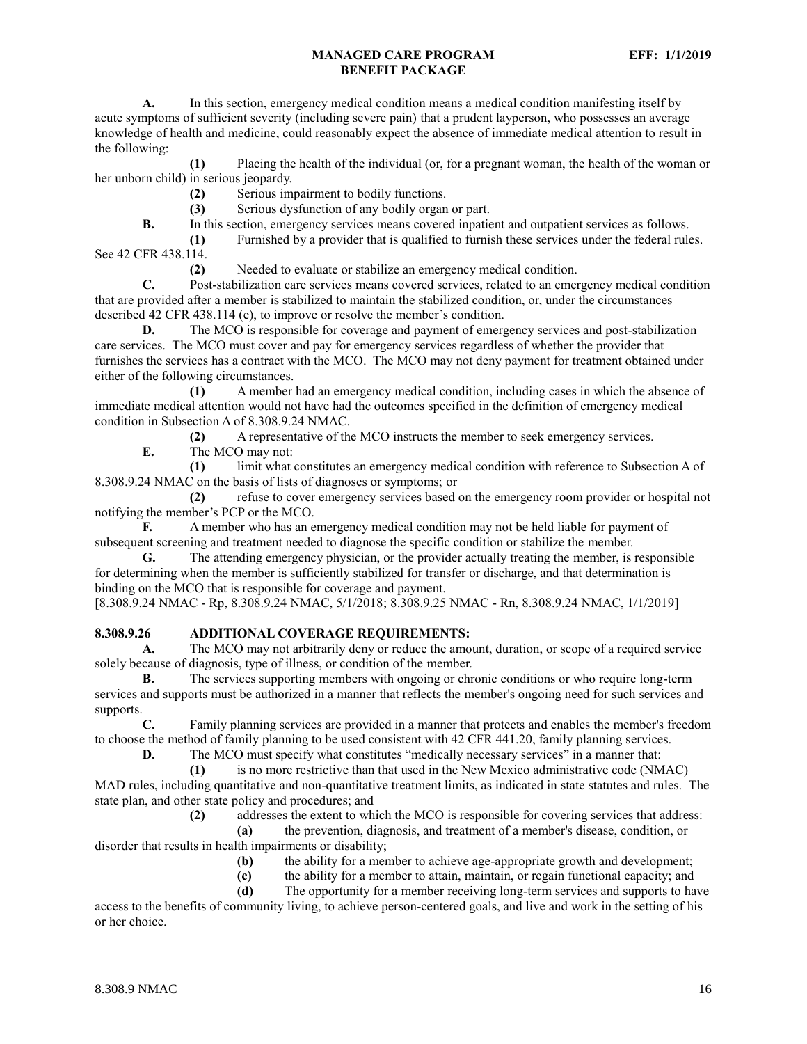**A.** In this section, emergency medical condition means a medical condition manifesting itself by acute symptoms of sufficient severity (including severe pain) that a prudent layperson, who possesses an average knowledge of health and medicine, could reasonably expect the absence of immediate medical attention to result in the following:

**(1)** Placing the health of the individual (or, for a pregnant woman, the health of the woman or her unborn child) in serious jeopardy.

**(2)** Serious impairment to bodily functions.

**(3)** Serious dysfunction of any bodily organ or part.

**B.** In this section, emergency services means covered inpatient and outpatient services as follows.

**(1)** Furnished by a provider that is qualified to furnish these services under the federal rules. See 42 CFR 438.114.

**(2)** Needed to evaluate or stabilize an emergency medical condition.

**C.** Post-stabilization care services means covered services, related to an emergency medical condition that are provided after a member is stabilized to maintain the stabilized condition, or, under the circumstances described 42 CFR 438.114 (e), to improve or resolve the member's condition.

**D.** The MCO is responsible for coverage and payment of emergency services and post-stabilization care services. The MCO must cover and pay for emergency services regardless of whether the provider that furnishes the services has a contract with the MCO. The MCO may not deny payment for treatment obtained under either of the following circumstances.

**(1)** A member had an emergency medical condition, including cases in which the absence of immediate medical attention would not have had the outcomes specified in the definition of emergency medical condition in Subsection A of 8.308.9.24 NMAC.

**(2)** A representative of the MCO instructs the member to seek emergency services.

**E.** The MCO may not:

**(1)** limit what constitutes an emergency medical condition with reference to Subsection A of 8.308.9.24 NMAC on the basis of lists of diagnoses or symptoms; or

**(2)** refuse to cover emergency services based on the emergency room provider or hospital not notifying the member's PCP or the MCO.

**F.** A member who has an emergency medical condition may not be held liable for payment of subsequent screening and treatment needed to diagnose the specific condition or stabilize the member.

**G.** The attending emergency physician, or the provider actually treating the member, is responsible for determining when the member is sufficiently stabilized for transfer or discharge, and that determination is binding on the MCO that is responsible for coverage and payment.

[8.308.9.24 NMAC - Rp, 8.308.9.24 NMAC, 5/1/2018; 8.308.9.25 NMAC - Rn, 8.308.9.24 NMAC, 1/1/2019]

## <span id="page-16-0"></span>**8.308.9.26 ADDITIONAL COVERAGE REQUIREMENTS:**

**A.** The MCO may not arbitrarily deny or reduce the amount, duration, or scope of a required service solely because of diagnosis, type of illness, or condition of the member.

**B.** The services supporting members with ongoing or chronic conditions or who require long-term services and supports must be authorized in a manner that reflects the member's ongoing need for such services and supports.

**C.** Family planning services are provided in a manner that protects and enables the member's freedom to choose the method of family planning to be used consistent with 42 CFR 441.20, family planning services.

**D.** The MCO must specify what constitutes "medically necessary services" in a manner that:

**(1)** is no more restrictive than that used in the New Mexico administrative code (NMAC) MAD rules, including quantitative and non-quantitative treatment limits, as indicated in state statutes and rules. The state plan, and other state policy and procedures; and

**(2)** addresses the extent to which the MCO is responsible for covering services that address:

**(a)** the prevention, diagnosis, and treatment of a member's disease, condition, or disorder that results in health impairments or disability;

- **(b)** the ability for a member to achieve age-appropriate growth and development;
- **(c)** the ability for a member to attain, maintain, or regain functional capacity; and

**(d)** The opportunity for a member receiving long-term services and supports to have access to the benefits of community living, to achieve person-centered goals, and live and work in the setting of his

or her choice.